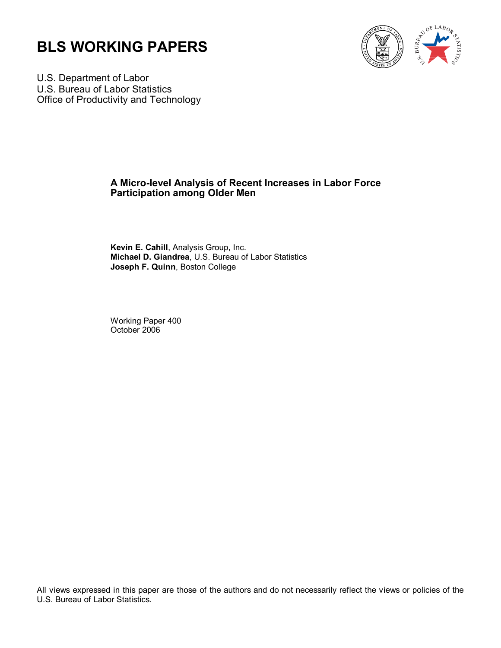



U.S. Department of Labor U.S. Bureau of Labor Statistics Office of Productivity and Technology

### **A Micro-level Analysis of Recent Increases in Labor Force Participation among Older Men**

**Kevin E. Cahill**, Analysis Group, Inc. **Michael D. Giandrea**, U.S. Bureau of Labor Statistics **Joseph F. Quinn**, Boston College

Working Paper 400 October 2006

All views expressed in this paper are those of the authors and do not necessarily reflect the views or policies of the U.S. Bureau of Labor Statistics.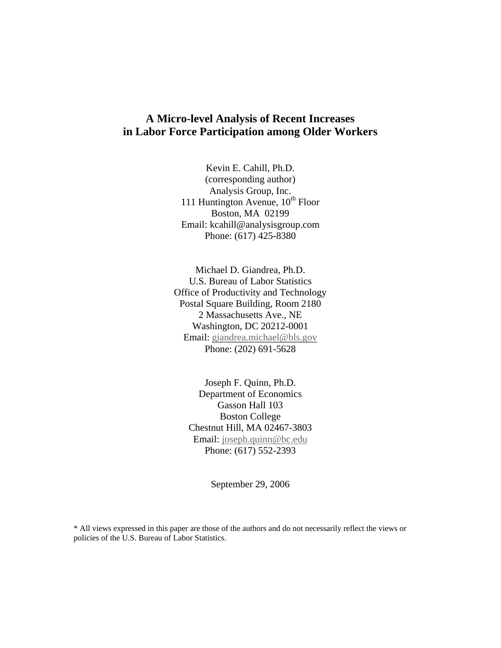### **A Micro-level Analysis of Recent Increases in Labor Force Participation among Older Workers**

Kevin E. Cahill, Ph.D. (corresponding author) Analysis Group, Inc. 111 Huntington Avenue,  $10^{th}$  Floor Boston, MA 02199 Email: kcahill@analysisgroup.com Phone: (617) 425-8380

Michael D. Giandrea, Ph.D. U.S. Bureau of Labor Statistics Office of Productivity and Technology Postal Square Building, Room 2180 2 Massachusetts Ave., NE Washington, DC 20212-0001 Email: [giandrea.michael@bls.gov](mailto:giandrea.michael@bls.gov) Phone: (202) 691-5628

Joseph F. Quinn, Ph.D. Department of Economics Gasson Hall 103 Boston College Chestnut Hill, MA 02467-3803 Email: [joseph.quinn@bc.edu](mailto:joseph.quinn@bc.edu) Phone: (617) 552-2393

September 29, 2006

\* All views expressed in this paper are those of the authors and do not necessarily reflect the views or policies of the U.S. Bureau of Labor Statistics.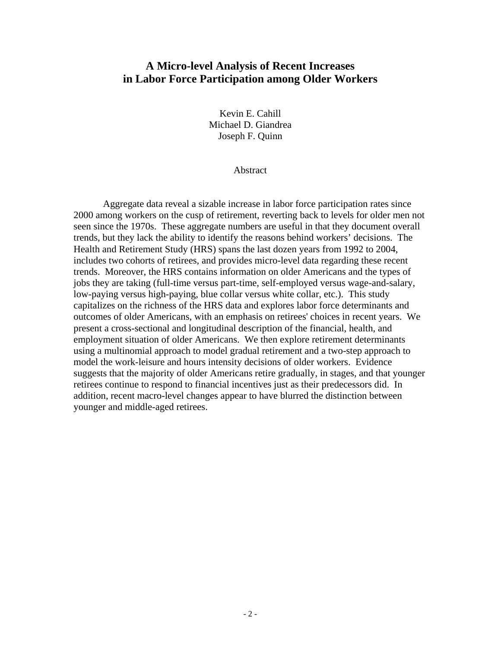### **A Micro-level Analysis of Recent Increases in Labor Force Participation among Older Workers**

Kevin E. Cahill Michael D. Giandrea Joseph F. Quinn

Abstract

Aggregate data reveal a sizable increase in labor force participation rates since 2000 among workers on the cusp of retirement, reverting back to levels for older men not seen since the 1970s. These aggregate numbers are useful in that they document overall trends, but they lack the ability to identify the reasons behind workers' decisions. The Health and Retirement Study (HRS) spans the last dozen years from 1992 to 2004, includes two cohorts of retirees, and provides micro-level data regarding these recent trends. Moreover, the HRS contains information on older Americans and the types of jobs they are taking (full-time versus part-time, self-employed versus wage-and-salary, low-paying versus high-paying, blue collar versus white collar, etc.). This study capitalizes on the richness of the HRS data and explores labor force determinants and outcomes of older Americans, with an emphasis on retirees' choices in recent years. We present a cross-sectional and longitudinal description of the financial, health, and employment situation of older Americans. We then explore retirement determinants using a multinomial approach to model gradual retirement and a two-step approach to model the work-leisure and hours intensity decisions of older workers. Evidence suggests that the majority of older Americans retire gradually, in stages, and that younger retirees continue to respond to financial incentives just as their predecessors did. In addition, recent macro-level changes appear to have blurred the distinction between younger and middle-aged retirees.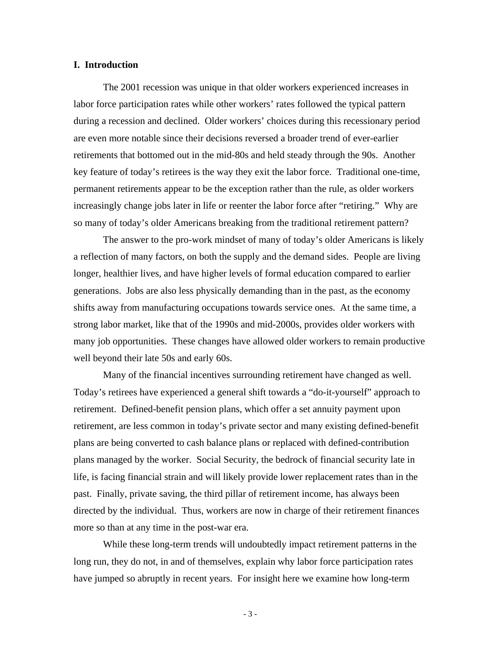#### **I. Introduction**

The 2001 recession was unique in that older workers experienced increases in labor force participation rates while other workers' rates followed the typical pattern during a recession and declined. Older workers' choices during this recessionary period are even more notable since their decisions reversed a broader trend of ever-earlier retirements that bottomed out in the mid-80s and held steady through the 90s. Another key feature of today's retirees is the way they exit the labor force. Traditional one-time, permanent retirements appear to be the exception rather than the rule, as older workers increasingly change jobs later in life or reenter the labor force after "retiring." Why are so many of today's older Americans breaking from the traditional retirement pattern?

The answer to the pro-work mindset of many of today's older Americans is likely a reflection of many factors, on both the supply and the demand sides. People are living longer, healthier lives, and have higher levels of formal education compared to earlier generations. Jobs are also less physically demanding than in the past, as the economy shifts away from manufacturing occupations towards service ones. At the same time, a strong labor market, like that of the 1990s and mid-2000s, provides older workers with many job opportunities. These changes have allowed older workers to remain productive well beyond their late 50s and early 60s.

Many of the financial incentives surrounding retirement have changed as well. Today's retirees have experienced a general shift towards a "do-it-yourself" approach to retirement. Defined-benefit pension plans, which offer a set annuity payment upon retirement, are less common in today's private sector and many existing defined-benefit plans are being converted to cash balance plans or replaced with defined-contribution plans managed by the worker. Social Security, the bedrock of financial security late in life, is facing financial strain and will likely provide lower replacement rates than in the past. Finally, private saving, the third pillar of retirement income, has always been directed by the individual. Thus, workers are now in charge of their retirement finances more so than at any time in the post-war era.

While these long-term trends will undoubtedly impact retirement patterns in the long run, they do not, in and of themselves, explain why labor force participation rates have jumped so abruptly in recent years. For insight here we examine how long-term

- 3 -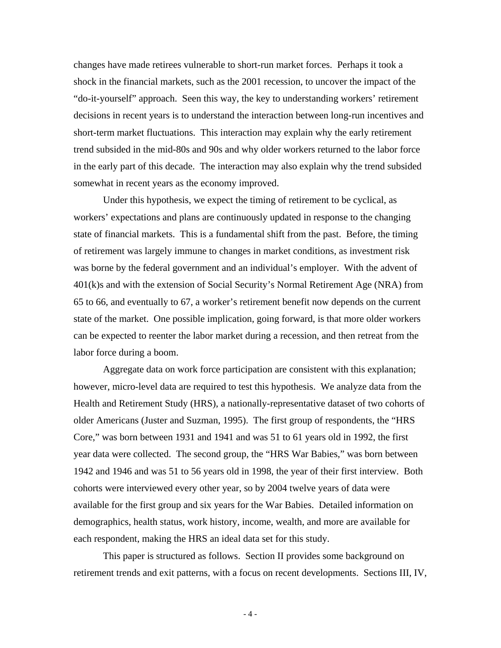changes have made retirees vulnerable to short-run market forces. Perhaps it took a shock in the financial markets, such as the 2001 recession, to uncover the impact of the "do-it-yourself" approach. Seen this way, the key to understanding workers' retirement decisions in recent years is to understand the interaction between long-run incentives and short-term market fluctuations. This interaction may explain why the early retirement trend subsided in the mid-80s and 90s and why older workers returned to the labor force in the early part of this decade. The interaction may also explain why the trend subsided somewhat in recent years as the economy improved.

Under this hypothesis, we expect the timing of retirement to be cyclical, as workers' expectations and plans are continuously updated in response to the changing state of financial markets. This is a fundamental shift from the past. Before, the timing of retirement was largely immune to changes in market conditions, as investment risk was borne by the federal government and an individual's employer. With the advent of 401(k)s and with the extension of Social Security's Normal Retirement Age (NRA) from 65 to 66, and eventually to 67, a worker's retirement benefit now depends on the current state of the market. One possible implication, going forward, is that more older workers can be expected to reenter the labor market during a recession, and then retreat from the labor force during a boom.

Aggregate data on work force participation are consistent with this explanation; however, micro-level data are required to test this hypothesis. We analyze data from the Health and Retirement Study (HRS), a nationally-representative dataset of two cohorts of older Americans (Juster and Suzman, 1995). The first group of respondents, the "HRS Core," was born between 1931 and 1941 and was 51 to 61 years old in 1992, the first year data were collected. The second group, the "HRS War Babies," was born between 1942 and 1946 and was 51 to 56 years old in 1998, the year of their first interview. Both cohorts were interviewed every other year, so by 2004 twelve years of data were available for the first group and six years for the War Babies. Detailed information on demographics, health status, work history, income, wealth, and more are available for each respondent, making the HRS an ideal data set for this study.

 This paper is structured as follows. Section II provides some background on retirement trends and exit patterns, with a focus on recent developments. Sections III, IV,

- 4 -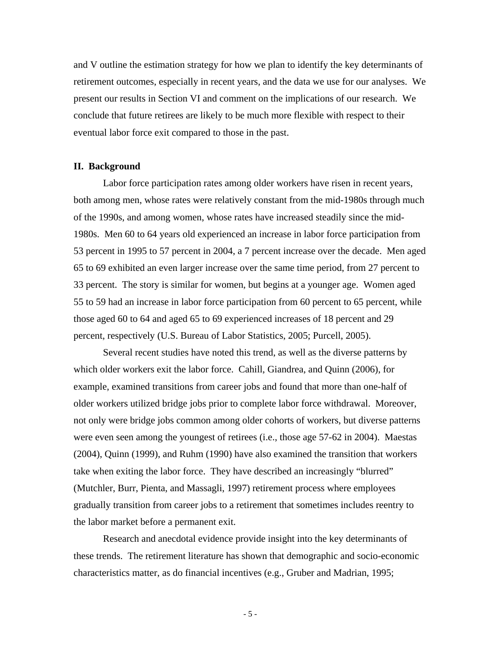and V outline the estimation strategy for how we plan to identify the key determinants of retirement outcomes, especially in recent years, and the data we use for our analyses. We present our results in Section VI and comment on the implications of our research. We conclude that future retirees are likely to be much more flexible with respect to their eventual labor force exit compared to those in the past.

#### **II. Background**

Labor force participation rates among older workers have risen in recent years, both among men, whose rates were relatively constant from the mid-1980s through much of the 1990s, and among women, whose rates have increased steadily since the mid-1980s. Men 60 to 64 years old experienced an increase in labor force participation from 53 percent in 1995 to 57 percent in 2004, a 7 percent increase over the decade. Men aged 65 to 69 exhibited an even larger increase over the same time period, from 27 percent to 33 percent. The story is similar for women, but begins at a younger age. Women aged 55 to 59 had an increase in labor force participation from 60 percent to 65 percent, while those aged 60 to 64 and aged 65 to 69 experienced increases of 18 percent and 29 percent, respectively (U.S. Bureau of Labor Statistics, 2005; Purcell, 2005).

Several recent studies have noted this trend, as well as the diverse patterns by which older workers exit the labor force. Cahill, Giandrea, and Quinn (2006), for example, examined transitions from career jobs and found that more than one-half of older workers utilized bridge jobs prior to complete labor force withdrawal. Moreover, not only were bridge jobs common among older cohorts of workers, but diverse patterns were even seen among the youngest of retirees (i.e., those age 57-62 in 2004). Maestas (2004), Quinn (1999), and Ruhm (1990) have also examined the transition that workers take when exiting the labor force. They have described an increasingly "blurred" (Mutchler, Burr, Pienta, and Massagli, 1997) retirement process where employees gradually transition from career jobs to a retirement that sometimes includes reentry to the labor market before a permanent exit.

Research and anecdotal evidence provide insight into the key determinants of these trends. The retirement literature has shown that demographic and socio-economic characteristics matter, as do financial incentives (e.g., Gruber and Madrian, 1995;

- 5 -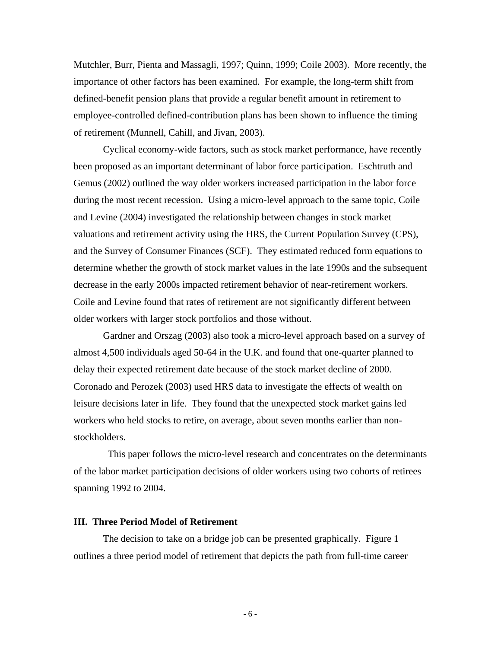Mutchler, Burr, Pienta and Massagli, 1997; Quinn, 1999; Coile 2003). More recently, the importance of other factors has been examined. For example, the long-term shift from defined-benefit pension plans that provide a regular benefit amount in retirement to employee-controlled defined-contribution plans has been shown to influence the timing of retirement (Munnell, Cahill, and Jivan, 2003).

Cyclical economy-wide factors, such as stock market performance, have recently been proposed as an important determinant of labor force participation. Eschtruth and Gemus (2002) outlined the way older workers increased participation in the labor force during the most recent recession. Using a micro-level approach to the same topic, Coile and Levine (2004) investigated the relationship between changes in stock market valuations and retirement activity using the HRS, the Current Population Survey (CPS), and the Survey of Consumer Finances (SCF). They estimated reduced form equations to determine whether the growth of stock market values in the late 1990s and the subsequent decrease in the early 2000s impacted retirement behavior of near-retirement workers. Coile and Levine found that rates of retirement are not significantly different between older workers with larger stock portfolios and those without.

Gardner and Orszag (2003) also took a micro-level approach based on a survey of almost 4,500 individuals aged 50-64 in the U.K. and found that one-quarter planned to delay their expected retirement date because of the stock market decline of 2000. Coronado and Perozek (2003) used HRS data to investigate the effects of wealth on leisure decisions later in life. They found that the unexpected stock market gains led workers who held stocks to retire, on average, about seven months earlier than nonstockholders.

 This paper follows the micro-level research and concentrates on the determinants of the labor market participation decisions of older workers using two cohorts of retirees spanning 1992 to 2004.

#### **III. Three Period Model of Retirement**

The decision to take on a bridge job can be presented graphically. Figure 1 outlines a three period model of retirement that depicts the path from full-time career

- 6 -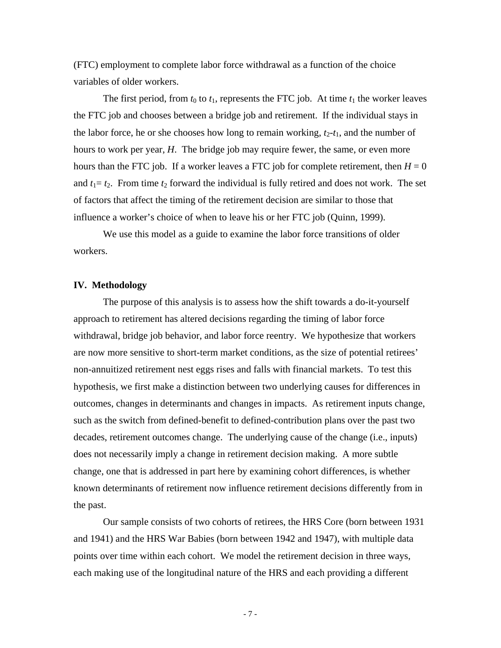(FTC) employment to complete labor force withdrawal as a function of the choice variables of older workers.

The first period, from  $t_0$  to  $t_1$ , represents the FTC job. At time  $t_1$  the worker leaves the FTC job and chooses between a bridge job and retirement. If the individual stays in the labor force, he or she chooses how long to remain working,  $t_2-t_1$ , and the number of hours to work per year, *H*. The bridge job may require fewer, the same, or even more hours than the FTC job. If a worker leaves a FTC job for complete retirement, then  $H = 0$ and  $t_1 = t_2$ . From time  $t_2$  forward the individual is fully retired and does not work. The set of factors that affect the timing of the retirement decision are similar to those that influence a worker's choice of when to leave his or her FTC job (Quinn, 1999).

We use this model as a guide to examine the labor force transitions of older workers.

#### **IV. Methodology**

The purpose of this analysis is to assess how the shift towards a do-it-yourself approach to retirement has altered decisions regarding the timing of labor force withdrawal, bridge job behavior, and labor force reentry. We hypothesize that workers are now more sensitive to short-term market conditions, as the size of potential retirees' non-annuitized retirement nest eggs rises and falls with financial markets. To test this hypothesis, we first make a distinction between two underlying causes for differences in outcomes, changes in determinants and changes in impacts. As retirement inputs change, such as the switch from defined-benefit to defined-contribution plans over the past two decades, retirement outcomes change. The underlying cause of the change (i.e., inputs) does not necessarily imply a change in retirement decision making. A more subtle change, one that is addressed in part here by examining cohort differences, is whether known determinants of retirement now influence retirement decisions differently from in the past.

 Our sample consists of two cohorts of retirees, the HRS Core (born between 1931 and 1941) and the HRS War Babies (born between 1942 and 1947), with multiple data points over time within each cohort. We model the retirement decision in three ways, each making use of the longitudinal nature of the HRS and each providing a different

- 7 -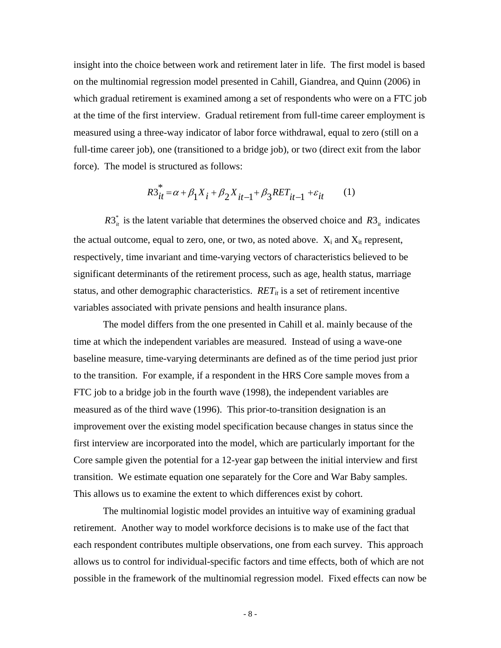insight into the choice between work and retirement later in life. The first model is based on the multinomial regression model presented in Cahill, Giandrea, and Quinn (2006) in which gradual retirement is examined among a set of respondents who were on a FTC job at the time of the first interview. Gradual retirement from full-time career employment is measured using a three-way indicator of labor force withdrawal, equal to zero (still on a full-time career job), one (transitioned to a bridge job), or two (direct exit from the labor force). The model is structured as follows:

$$
R3_{it}^{*} = \alpha + \beta_{1} X_{i} + \beta_{2} X_{it-1} + \beta_{3} RET_{it-1} + \varepsilon_{it}
$$
 (1)

 $R3^*$  is the latent variable that determines the observed choice and  $R3^*$  indicates the actual outcome, equal to zero, one, or two, as noted above.  $X_i$  and  $X_{it}$  represent, respectively, time invariant and time-varying vectors of characteristics believed to be significant determinants of the retirement process, such as age, health status, marriage status, and other demographic characteristics.  $RET_{it}$  is a set of retirement incentive variables associated with private pensions and health insurance plans.

The model differs from the one presented in Cahill et al. mainly because of the time at which the independent variables are measured. Instead of using a wave-one baseline measure, time-varying determinants are defined as of the time period just prior to the transition. For example, if a respondent in the HRS Core sample moves from a FTC job to a bridge job in the fourth wave (1998), the independent variables are measured as of the third wave (1996). This prior-to-transition designation is an improvement over the existing model specification because changes in status since the first interview are incorporated into the model, which are particularly important for the Core sample given the potential for a 12-year gap between the initial interview and first transition. We estimate equation one separately for the Core and War Baby samples. This allows us to examine the extent to which differences exist by cohort.

The multinomial logistic model provides an intuitive way of examining gradual retirement. Another way to model workforce decisions is to make use of the fact that each respondent contributes multiple observations, one from each survey. This approach allows us to control for individual-specific factors and time effects, both of which are not possible in the framework of the multinomial regression model. Fixed effects can now be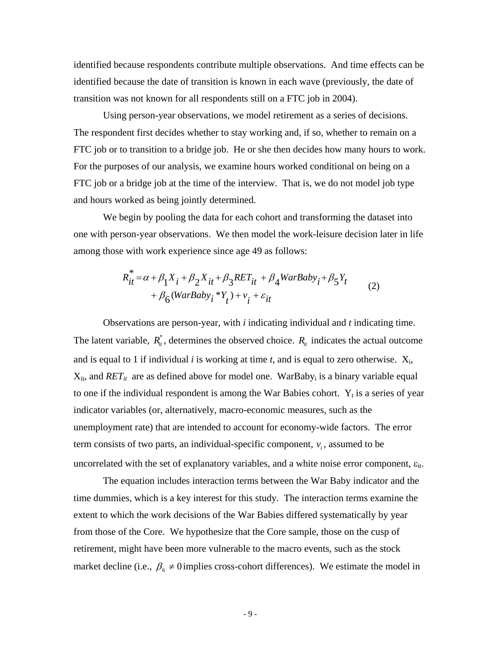identified because respondents contribute multiple observations. And time effects can be identified because the date of transition is known in each wave (previously, the date of transition was not known for all respondents still on a FTC job in 2004).

Using person-year observations, we model retirement as a series of decisions. The respondent first decides whether to stay working and, if so, whether to remain on a FTC job or to transition to a bridge job. He or she then decides how many hours to work. For the purposes of our analysis, we examine hours worked conditional on being on a FTC job or a bridge job at the time of the interview. That is, we do not model job type and hours worked as being jointly determined.

We begin by pooling the data for each cohort and transforming the dataset into one with person-year observations. We then model the work-leisure decision later in life among those with work experience since age 49 as follows:

$$
R_{it}^* = \alpha + \beta_1 X_i + \beta_2 X_{it} + \beta_3 RET_{it} + \beta_4 WarBaby_i + \beta_5 Y_t
$$
  
+ 
$$
\beta_6 (WarBaby_i * Y_t) + v_i + \varepsilon_{it}
$$
 (2)

Observations are person-year, with *i* indicating individual and *t* indicating time. The latent variable,  $R_{it}^{*}$ , determines the observed choice.  $R_{it}$  indicates the actual outcome and is equal to 1 if individual  $i$  is working at time  $t$ , and is equal to zero otherwise.  $X_i$ ,  $X_{it}$ , and  $RET_{it}$  are as defined above for model one. WarBaby<sub>i</sub> is a binary variable equal to one if the individual respondent is among the War Babies cohort.  $Y_t$  is a series of year indicator variables (or, alternatively, macro-economic measures, such as the unemployment rate) that are intended to account for economy-wide factors. The error term consists of two parts, an individual-specific component,  $v_i$ , assumed to be uncorrelated with the set of explanatory variables, and a white noise error component,  $\varepsilon_{it}$ .

The equation includes interaction terms between the War Baby indicator and the time dummies, which is a key interest for this study. The interaction terms examine the extent to which the work decisions of the War Babies differed systematically by year from those of the Core. We hypothesize that the Core sample, those on the cusp of retirement, might have been more vulnerable to the macro events, such as the stock market decline (i.e.,  $\beta_6 \neq 0$  implies cross-cohort differences). We estimate the model in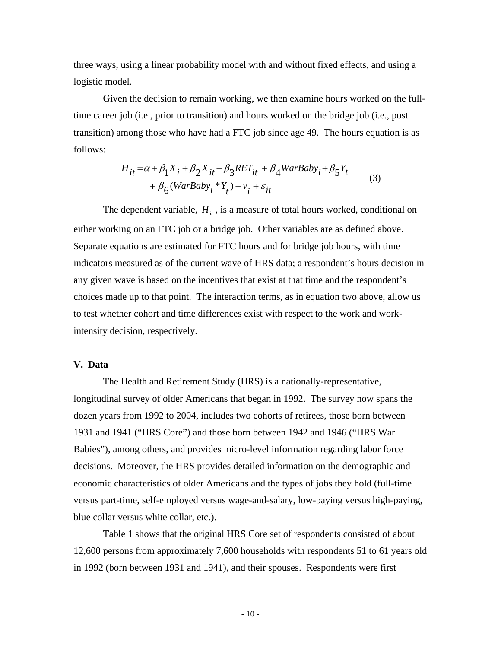three ways, using a linear probability model with and without fixed effects, and using a logistic model.

Given the decision to remain working, we then examine hours worked on the fulltime career job (i.e., prior to transition) and hours worked on the bridge job (i.e., post transition) among those who have had a FTC job since age 49. The hours equation is as follows:

$$
H_{it} = \alpha + \beta_1 X_i + \beta_2 X_{it} + \beta_3 RET_{it} + \beta_4 WarBaby_i + \beta_5 Y_t
$$
  
+  $\beta_6 (WarBaby_i * Y_t) + v_i + \varepsilon_{it}$  (3)

The dependent variable,  $H_{\mu}$ , is a measure of total hours worked, conditional on either working on an FTC job or a bridge job. Other variables are as defined above. Separate equations are estimated for FTC hours and for bridge job hours, with time indicators measured as of the current wave of HRS data; a respondent's hours decision in any given wave is based on the incentives that exist at that time and the respondent's choices made up to that point. The interaction terms, as in equation two above, allow us to test whether cohort and time differences exist with respect to the work and workintensity decision, respectively.

#### **V. Data**

The Health and Retirement Study (HRS) is a nationally-representative, longitudinal survey of older Americans that began in 1992. The survey now spans the dozen years from 1992 to 2004, includes two cohorts of retirees, those born between 1931 and 1941 ("HRS Core") and those born between 1942 and 1946 ("HRS War Babies"), among others, and provides micro-level information regarding labor force decisions. Moreover, the HRS provides detailed information on the demographic and economic characteristics of older Americans and the types of jobs they hold (full-time versus part-time, self-employed versus wage-and-salary, low-paying versus high-paying, blue collar versus white collar, etc.).

 Table 1 shows that the original HRS Core set of respondents consisted of about 12,600 persons from approximately 7,600 households with respondents 51 to 61 years old in 1992 (born between 1931 and 1941), and their spouses. Respondents were first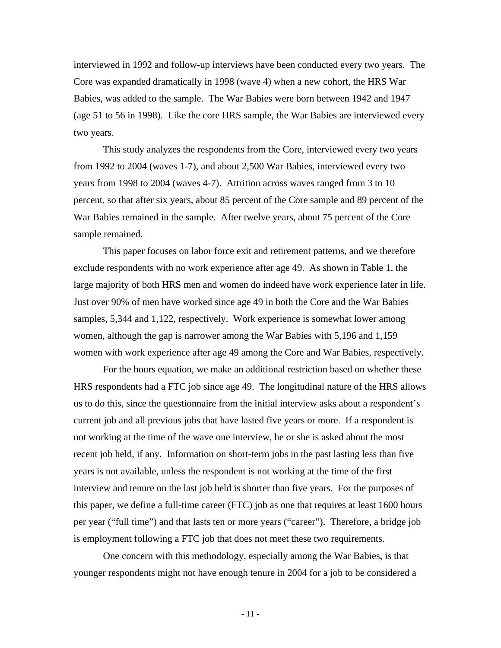interviewed in 1992 and follow-up interviews have been conducted every two years. The Core was expanded dramatically in 1998 (wave 4) when a new cohort, the HRS War Babies, was added to the sample. The War Babies were born between 1942 and 1947 (age 51 to 56 in 1998). Like the core HRS sample, the War Babies are interviewed every two years.

This study analyzes the respondents from the Core, interviewed every two years from 1992 to 2004 (waves 1-7), and about 2,500 War Babies, interviewed every two years from 1998 to 2004 (waves 4-7). Attrition across waves ranged from 3 to 10 percent, so that after six years, about 85 percent of the Core sample and 89 percent of the War Babies remained in the sample. After twelve years, about 75 percent of the Core sample remained.

This paper focuses on labor force exit and retirement patterns, and we therefore exclude respondents with no work experience after age 49. As shown in Table 1, the large majority of both HRS men and women do indeed have work experience later in life. Just over 90% of men have worked since age 49 in both the Core and the War Babies samples, 5,344 and 1,122, respectively. Work experience is somewhat lower among women, although the gap is narrower among the War Babies with 5,196 and 1,159 women with work experience after age 49 among the Core and War Babies, respectively.

For the hours equation, we make an additional restriction based on whether these HRS respondents had a FTC job since age 49. The longitudinal nature of the HRS allows us to do this, since the questionnaire from the initial interview asks about a respondent's current job and all previous jobs that have lasted five years or more. If a respondent is not working at the time of the wave one interview, he or she is asked about the most recent job held, if any. Information on short-term jobs in the past lasting less than five years is not available, unless the respondent is not working at the time of the first interview and tenure on the last job held is shorter than five years. For the purposes of this paper, we define a full-time career (FTC) job as one that requires at least 1600 hours per year ("full time") and that lasts ten or more years ("career"). Therefore, a bridge job is employment following a FTC job that does not meet these two requirements.

One concern with this methodology, especially among the War Babies, is that younger respondents might not have enough tenure in 2004 for a job to be considered a

- 11 -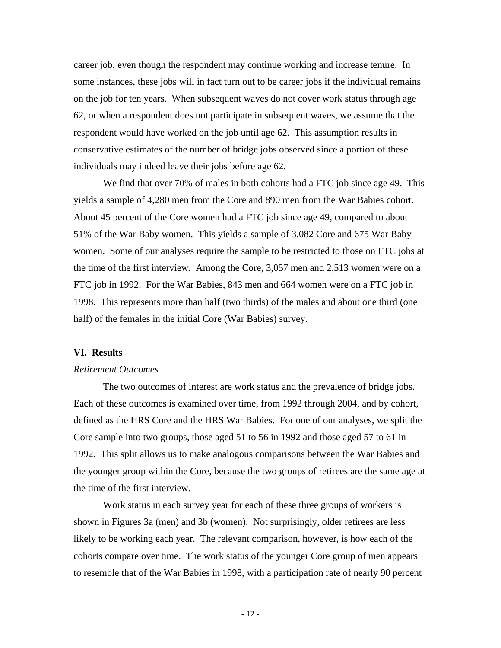career job, even though the respondent may continue working and increase tenure. In some instances, these jobs will in fact turn out to be career jobs if the individual remains on the job for ten years. When subsequent waves do not cover work status through age 62, or when a respondent does not participate in subsequent waves, we assume that the respondent would have worked on the job until age 62. This assumption results in conservative estimates of the number of bridge jobs observed since a portion of these individuals may indeed leave their jobs before age 62.

We find that over 70% of males in both cohorts had a FTC job since age 49. This yields a sample of 4,280 men from the Core and 890 men from the War Babies cohort. About 45 percent of the Core women had a FTC job since age 49, compared to about 51% of the War Baby women. This yields a sample of 3,082 Core and 675 War Baby women. Some of our analyses require the sample to be restricted to those on FTC jobs at the time of the first interview. Among the Core, 3,057 men and 2,513 women were on a FTC job in 1992. For the War Babies, 843 men and 664 women were on a FTC job in 1998. This represents more than half (two thirds) of the males and about one third (one half) of the females in the initial Core (War Babies) survey.

#### **VI. Results**

#### *Retirement Outcomes*

 The two outcomes of interest are work status and the prevalence of bridge jobs. Each of these outcomes is examined over time, from 1992 through 2004, and by cohort, defined as the HRS Core and the HRS War Babies. For one of our analyses, we split the Core sample into two groups, those aged 51 to 56 in 1992 and those aged 57 to 61 in 1992. This split allows us to make analogous comparisons between the War Babies and the younger group within the Core, because the two groups of retirees are the same age at the time of the first interview.

 Work status in each survey year for each of these three groups of workers is shown in Figures 3a (men) and 3b (women). Not surprisingly, older retirees are less likely to be working each year. The relevant comparison, however, is how each of the cohorts compare over time. The work status of the younger Core group of men appears to resemble that of the War Babies in 1998, with a participation rate of nearly 90 percent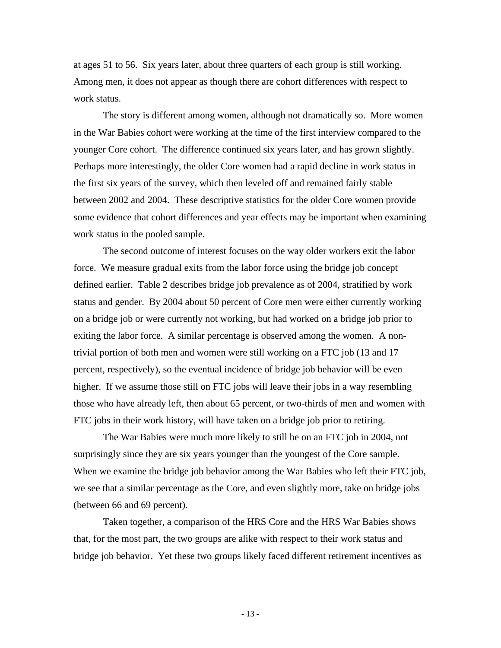at ages 51 to 56. Six years later, about three quarters of each group is still working. Among men, it does not appear as though there are cohort differences with respect to work status.

 The story is different among women, although not dramatically so. More women in the War Babies cohort were working at the time of the first interview compared to the younger Core cohort. The difference continued six years later, and has grown slightly. Perhaps more interestingly, the older Core women had a rapid decline in work status in the first six years of the survey, which then leveled off and remained fairly stable between 2002 and 2004. These descriptive statistics for the older Core women provide some evidence that cohort differences and year effects may be important when examining work status in the pooled sample.

 The second outcome of interest focuses on the way older workers exit the labor force. We measure gradual exits from the labor force using the bridge job concept defined earlier. Table 2 describes bridge job prevalence as of 2004, stratified by work status and gender. By 2004 about 50 percent of Core men were either currently working on a bridge job or were currently not working, but had worked on a bridge job prior to exiting the labor force. A similar percentage is observed among the women. A nontrivial portion of both men and women were still working on a FTC job (13 and 17 percent, respectively), so the eventual incidence of bridge job behavior will be even higher. If we assume those still on FTC jobs will leave their jobs in a way resembling those who have already left, then about 65 percent, or two-thirds of men and women with FTC jobs in their work history, will have taken on a bridge job prior to retiring.

 The War Babies were much more likely to still be on an FTC job in 2004, not surprisingly since they are six years younger than the youngest of the Core sample. When we examine the bridge job behavior among the War Babies who left their FTC job, we see that a similar percentage as the Core, and even slightly more, take on bridge jobs (between 66 and 69 percent).

 Taken together, a comparison of the HRS Core and the HRS War Babies shows that, for the most part, the two groups are alike with respect to their work status and bridge job behavior. Yet these two groups likely faced different retirement incentives as

- 13 -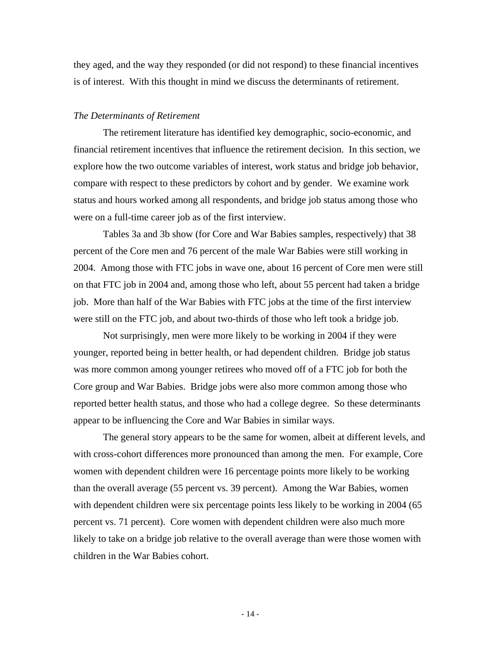they aged, and the way they responded (or did not respond) to these financial incentives is of interest. With this thought in mind we discuss the determinants of retirement.

#### *The Determinants of Retirement*

 The retirement literature has identified key demographic, socio-economic, and financial retirement incentives that influence the retirement decision. In this section, we explore how the two outcome variables of interest, work status and bridge job behavior, compare with respect to these predictors by cohort and by gender. We examine work status and hours worked among all respondents, and bridge job status among those who were on a full-time career job as of the first interview.

 Tables 3a and 3b show (for Core and War Babies samples, respectively) that 38 percent of the Core men and 76 percent of the male War Babies were still working in 2004. Among those with FTC jobs in wave one, about 16 percent of Core men were still on that FTC job in 2004 and, among those who left, about 55 percent had taken a bridge job. More than half of the War Babies with FTC jobs at the time of the first interview were still on the FTC job, and about two-thirds of those who left took a bridge job.

Not surprisingly, men were more likely to be working in 2004 if they were younger, reported being in better health, or had dependent children. Bridge job status was more common among younger retirees who moved off of a FTC job for both the Core group and War Babies. Bridge jobs were also more common among those who reported better health status, and those who had a college degree. So these determinants appear to be influencing the Core and War Babies in similar ways.

 The general story appears to be the same for women, albeit at different levels, and with cross-cohort differences more pronounced than among the men. For example, Core women with dependent children were 16 percentage points more likely to be working than the overall average (55 percent vs. 39 percent). Among the War Babies, women with dependent children were six percentage points less likely to be working in 2004 (65) percent vs. 71 percent). Core women with dependent children were also much more likely to take on a bridge job relative to the overall average than were those women with children in the War Babies cohort.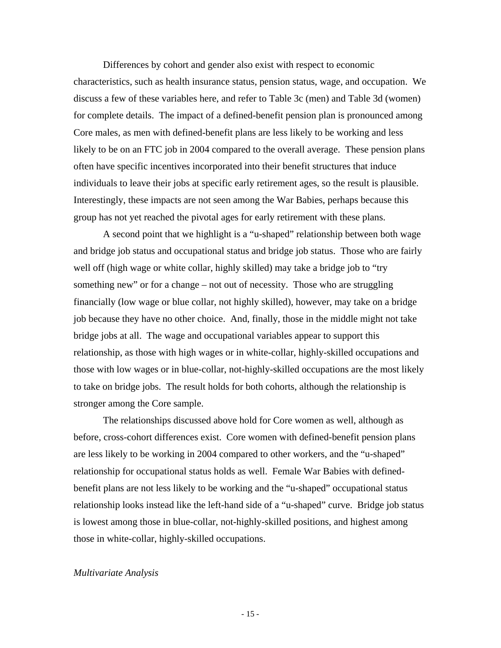Differences by cohort and gender also exist with respect to economic characteristics, such as health insurance status, pension status, wage, and occupation. We discuss a few of these variables here, and refer to Table 3c (men) and Table 3d (women) for complete details. The impact of a defined-benefit pension plan is pronounced among Core males, as men with defined-benefit plans are less likely to be working and less likely to be on an FTC job in 2004 compared to the overall average. These pension plans often have specific incentives incorporated into their benefit structures that induce individuals to leave their jobs at specific early retirement ages, so the result is plausible. Interestingly, these impacts are not seen among the War Babies, perhaps because this group has not yet reached the pivotal ages for early retirement with these plans.

A second point that we highlight is a "u-shaped" relationship between both wage and bridge job status and occupational status and bridge job status. Those who are fairly well off (high wage or white collar, highly skilled) may take a bridge job to "try something new" or for a change – not out of necessity. Those who are struggling financially (low wage or blue collar, not highly skilled), however, may take on a bridge job because they have no other choice. And, finally, those in the middle might not take bridge jobs at all. The wage and occupational variables appear to support this relationship, as those with high wages or in white-collar, highly-skilled occupations and those with low wages or in blue-collar, not-highly-skilled occupations are the most likely to take on bridge jobs. The result holds for both cohorts, although the relationship is stronger among the Core sample.

The relationships discussed above hold for Core women as well, although as before, cross-cohort differences exist. Core women with defined-benefit pension plans are less likely to be working in 2004 compared to other workers, and the "u-shaped" relationship for occupational status holds as well. Female War Babies with definedbenefit plans are not less likely to be working and the "u-shaped" occupational status relationship looks instead like the left-hand side of a "u-shaped" curve. Bridge job status is lowest among those in blue-collar, not-highly-skilled positions, and highest among those in white-collar, highly-skilled occupations.

#### *Multivariate Analysis*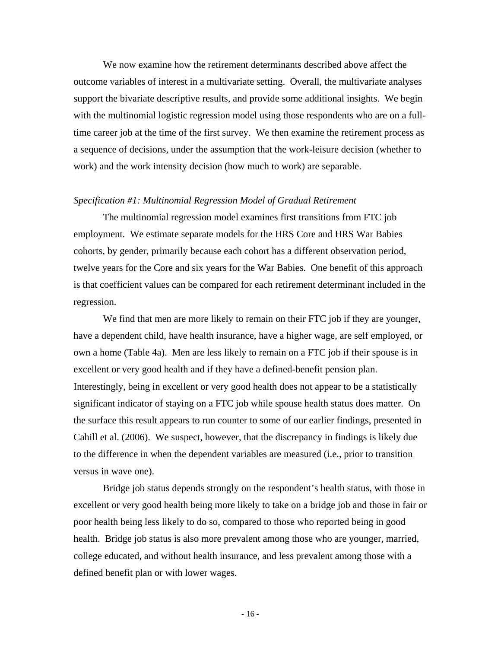We now examine how the retirement determinants described above affect the outcome variables of interest in a multivariate setting. Overall, the multivariate analyses support the bivariate descriptive results, and provide some additional insights. We begin with the multinomial logistic regression model using those respondents who are on a fulltime career job at the time of the first survey. We then examine the retirement process as a sequence of decisions, under the assumption that the work-leisure decision (whether to work) and the work intensity decision (how much to work) are separable.

#### *Specification #1: Multinomial Regression Model of Gradual Retirement*

The multinomial regression model examines first transitions from FTC job employment. We estimate separate models for the HRS Core and HRS War Babies cohorts, by gender, primarily because each cohort has a different observation period, twelve years for the Core and six years for the War Babies. One benefit of this approach is that coefficient values can be compared for each retirement determinant included in the regression.

We find that men are more likely to remain on their FTC job if they are younger, have a dependent child, have health insurance, have a higher wage, are self employed, or own a home (Table 4a). Men are less likely to remain on a FTC job if their spouse is in excellent or very good health and if they have a defined-benefit pension plan. Interestingly, being in excellent or very good health does not appear to be a statistically significant indicator of staying on a FTC job while spouse health status does matter. On the surface this result appears to run counter to some of our earlier findings, presented in Cahill et al. (2006). We suspect, however, that the discrepancy in findings is likely due to the difference in when the dependent variables are measured (i.e., prior to transition versus in wave one).

Bridge job status depends strongly on the respondent's health status, with those in excellent or very good health being more likely to take on a bridge job and those in fair or poor health being less likely to do so, compared to those who reported being in good health. Bridge job status is also more prevalent among those who are younger, married, college educated, and without health insurance, and less prevalent among those with a defined benefit plan or with lower wages.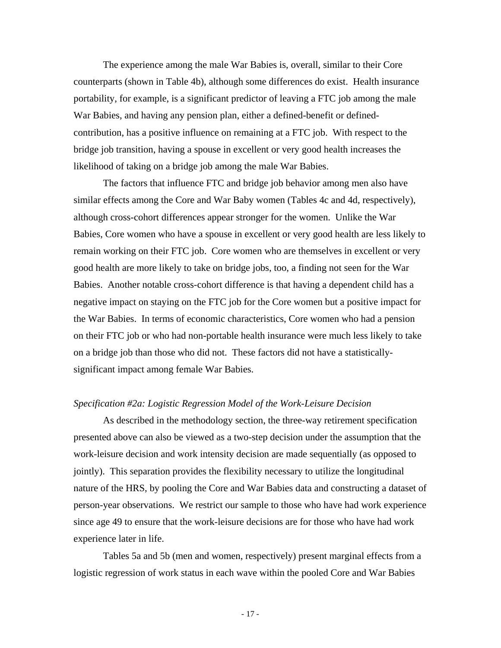The experience among the male War Babies is, overall, similar to their Core counterparts (shown in Table 4b), although some differences do exist. Health insurance portability, for example, is a significant predictor of leaving a FTC job among the male War Babies, and having any pension plan, either a defined-benefit or definedcontribution, has a positive influence on remaining at a FTC job. With respect to the bridge job transition, having a spouse in excellent or very good health increases the likelihood of taking on a bridge job among the male War Babies.

The factors that influence FTC and bridge job behavior among men also have similar effects among the Core and War Baby women (Tables 4c and 4d, respectively), although cross-cohort differences appear stronger for the women. Unlike the War Babies, Core women who have a spouse in excellent or very good health are less likely to remain working on their FTC job. Core women who are themselves in excellent or very good health are more likely to take on bridge jobs, too, a finding not seen for the War Babies. Another notable cross-cohort difference is that having a dependent child has a negative impact on staying on the FTC job for the Core women but a positive impact for the War Babies. In terms of economic characteristics, Core women who had a pension on their FTC job or who had non-portable health insurance were much less likely to take on a bridge job than those who did not. These factors did not have a statisticallysignificant impact among female War Babies.

#### *Specification #2a: Logistic Regression Model of the Work-Leisure Decision*

As described in the methodology section, the three-way retirement specification presented above can also be viewed as a two-step decision under the assumption that the work-leisure decision and work intensity decision are made sequentially (as opposed to jointly). This separation provides the flexibility necessary to utilize the longitudinal nature of the HRS, by pooling the Core and War Babies data and constructing a dataset of person-year observations. We restrict our sample to those who have had work experience since age 49 to ensure that the work-leisure decisions are for those who have had work experience later in life.

Tables 5a and 5b (men and women, respectively) present marginal effects from a logistic regression of work status in each wave within the pooled Core and War Babies

- 17 -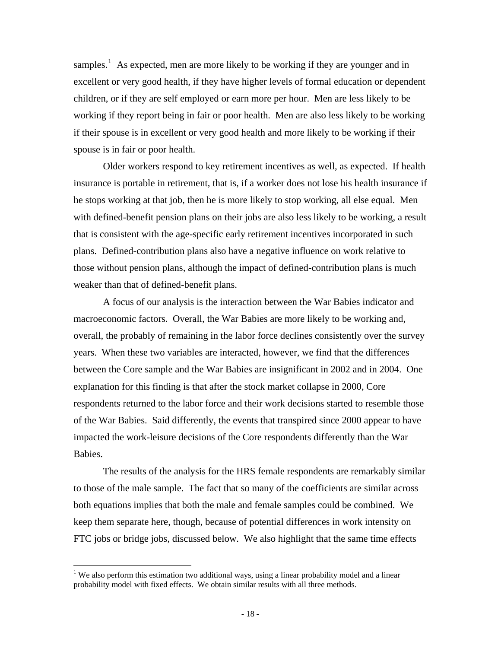samples.<sup>[1](#page-18-0)</sup> As expected, men are more likely to be working if they are younger and in excellent or very good health, if they have higher levels of formal education or dependent children, or if they are self employed or earn more per hour. Men are less likely to be working if they report being in fair or poor health. Men are also less likely to be working if their spouse is in excellent or very good health and more likely to be working if their spouse is in fair or poor health.

Older workers respond to key retirement incentives as well, as expected. If health insurance is portable in retirement, that is, if a worker does not lose his health insurance if he stops working at that job, then he is more likely to stop working, all else equal. Men with defined-benefit pension plans on their jobs are also less likely to be working, a result that is consistent with the age-specific early retirement incentives incorporated in such plans. Defined-contribution plans also have a negative influence on work relative to those without pension plans, although the impact of defined-contribution plans is much weaker than that of defined-benefit plans.

A focus of our analysis is the interaction between the War Babies indicator and macroeconomic factors. Overall, the War Babies are more likely to be working and, overall, the probably of remaining in the labor force declines consistently over the survey years. When these two variables are interacted, however, we find that the differences between the Core sample and the War Babies are insignificant in 2002 and in 2004. One explanation for this finding is that after the stock market collapse in 2000, Core respondents returned to the labor force and their work decisions started to resemble those of the War Babies. Said differently, the events that transpired since 2000 appear to have impacted the work-leisure decisions of the Core respondents differently than the War Babies.

 The results of the analysis for the HRS female respondents are remarkably similar to those of the male sample. The fact that so many of the coefficients are similar across both equations implies that both the male and female samples could be combined. We keep them separate here, though, because of potential differences in work intensity on FTC jobs or bridge jobs, discussed below. We also highlight that the same time effects

 $\overline{a}$ 

<span id="page-18-0"></span><sup>&</sup>lt;sup>1</sup> We also perform this estimation two additional ways, using a linear probability model and a linear probability model with fixed effects. We obtain similar results with all three methods.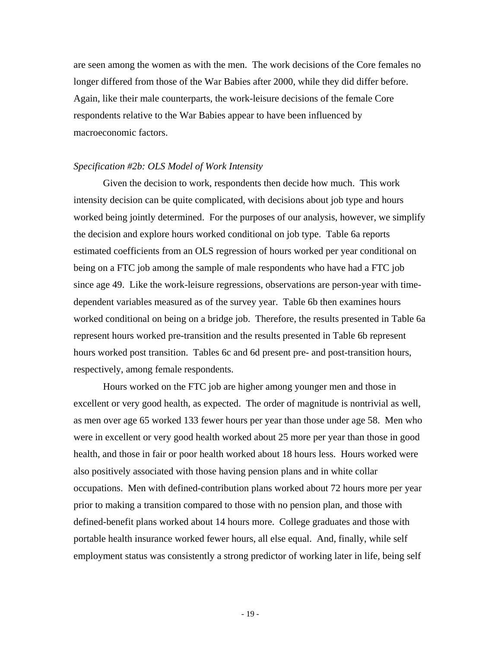are seen among the women as with the men. The work decisions of the Core females no longer differed from those of the War Babies after 2000, while they did differ before. Again, like their male counterparts, the work-leisure decisions of the female Core respondents relative to the War Babies appear to have been influenced by macroeconomic factors.

#### *Specification #2b: OLS Model of Work Intensity*

 Given the decision to work, respondents then decide how much. This work intensity decision can be quite complicated, with decisions about job type and hours worked being jointly determined. For the purposes of our analysis, however, we simplify the decision and explore hours worked conditional on job type. Table 6a reports estimated coefficients from an OLS regression of hours worked per year conditional on being on a FTC job among the sample of male respondents who have had a FTC job since age 49. Like the work-leisure regressions, observations are person-year with timedependent variables measured as of the survey year. Table 6b then examines hours worked conditional on being on a bridge job. Therefore, the results presented in Table 6a represent hours worked pre-transition and the results presented in Table 6b represent hours worked post transition. Tables 6c and 6d present pre- and post-transition hours, respectively, among female respondents.

 Hours worked on the FTC job are higher among younger men and those in excellent or very good health, as expected. The order of magnitude is nontrivial as well, as men over age 65 worked 133 fewer hours per year than those under age 58. Men who were in excellent or very good health worked about 25 more per year than those in good health, and those in fair or poor health worked about 18 hours less. Hours worked were also positively associated with those having pension plans and in white collar occupations. Men with defined-contribution plans worked about 72 hours more per year prior to making a transition compared to those with no pension plan, and those with defined-benefit plans worked about 14 hours more. College graduates and those with portable health insurance worked fewer hours, all else equal. And, finally, while self employment status was consistently a strong predictor of working later in life, being self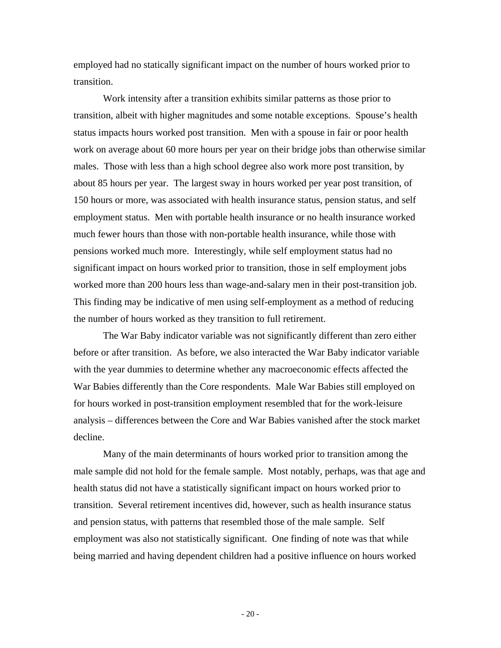employed had no statically significant impact on the number of hours worked prior to transition.

 Work intensity after a transition exhibits similar patterns as those prior to transition, albeit with higher magnitudes and some notable exceptions. Spouse's health status impacts hours worked post transition. Men with a spouse in fair or poor health work on average about 60 more hours per year on their bridge jobs than otherwise similar males. Those with less than a high school degree also work more post transition, by about 85 hours per year. The largest sway in hours worked per year post transition, of 150 hours or more, was associated with health insurance status, pension status, and self employment status. Men with portable health insurance or no health insurance worked much fewer hours than those with non-portable health insurance, while those with pensions worked much more. Interestingly, while self employment status had no significant impact on hours worked prior to transition, those in self employment jobs worked more than 200 hours less than wage-and-salary men in their post-transition job. This finding may be indicative of men using self-employment as a method of reducing the number of hours worked as they transition to full retirement.

The War Baby indicator variable was not significantly different than zero either before or after transition. As before, we also interacted the War Baby indicator variable with the year dummies to determine whether any macroeconomic effects affected the War Babies differently than the Core respondents. Male War Babies still employed on for hours worked in post-transition employment resembled that for the work-leisure analysis – differences between the Core and War Babies vanished after the stock market decline.

Many of the main determinants of hours worked prior to transition among the male sample did not hold for the female sample. Most notably, perhaps, was that age and health status did not have a statistically significant impact on hours worked prior to transition. Several retirement incentives did, however, such as health insurance status and pension status, with patterns that resembled those of the male sample. Self employment was also not statistically significant. One finding of note was that while being married and having dependent children had a positive influence on hours worked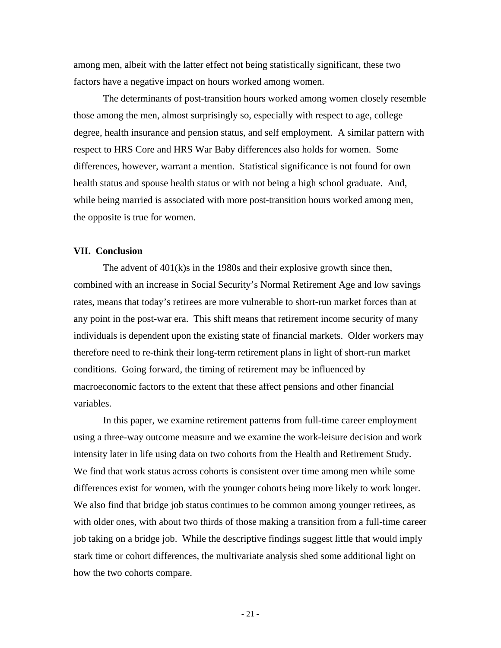among men, albeit with the latter effect not being statistically significant, these two factors have a negative impact on hours worked among women.

The determinants of post-transition hours worked among women closely resemble those among the men, almost surprisingly so, especially with respect to age, college degree, health insurance and pension status, and self employment. A similar pattern with respect to HRS Core and HRS War Baby differences also holds for women. Some differences, however, warrant a mention. Statistical significance is not found for own health status and spouse health status or with not being a high school graduate. And, while being married is associated with more post-transition hours worked among men, the opposite is true for women.

#### **VII. Conclusion**

 The advent of 401(k)s in the 1980s and their explosive growth since then, combined with an increase in Social Security's Normal Retirement Age and low savings rates, means that today's retirees are more vulnerable to short-run market forces than at any point in the post-war era. This shift means that retirement income security of many individuals is dependent upon the existing state of financial markets. Older workers may therefore need to re-think their long-term retirement plans in light of short-run market conditions. Going forward, the timing of retirement may be influenced by macroeconomic factors to the extent that these affect pensions and other financial variables.

In this paper, we examine retirement patterns from full-time career employment using a three-way outcome measure and we examine the work-leisure decision and work intensity later in life using data on two cohorts from the Health and Retirement Study. We find that work status across cohorts is consistent over time among men while some differences exist for women, with the younger cohorts being more likely to work longer. We also find that bridge job status continues to be common among younger retirees, as with older ones, with about two thirds of those making a transition from a full-time career job taking on a bridge job. While the descriptive findings suggest little that would imply stark time or cohort differences, the multivariate analysis shed some additional light on how the two cohorts compare.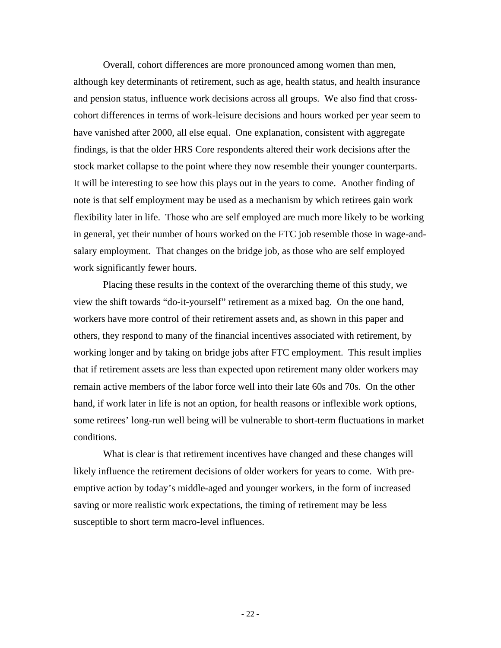Overall, cohort differences are more pronounced among women than men, although key determinants of retirement, such as age, health status, and health insurance and pension status, influence work decisions across all groups. We also find that crosscohort differences in terms of work-leisure decisions and hours worked per year seem to have vanished after 2000, all else equal. One explanation, consistent with aggregate findings, is that the older HRS Core respondents altered their work decisions after the stock market collapse to the point where they now resemble their younger counterparts. It will be interesting to see how this plays out in the years to come. Another finding of note is that self employment may be used as a mechanism by which retirees gain work flexibility later in life. Those who are self employed are much more likely to be working in general, yet their number of hours worked on the FTC job resemble those in wage-andsalary employment. That changes on the bridge job, as those who are self employed work significantly fewer hours.

Placing these results in the context of the overarching theme of this study, we view the shift towards "do-it-yourself" retirement as a mixed bag. On the one hand, workers have more control of their retirement assets and, as shown in this paper and others, they respond to many of the financial incentives associated with retirement, by working longer and by taking on bridge jobs after FTC employment. This result implies that if retirement assets are less than expected upon retirement many older workers may remain active members of the labor force well into their late 60s and 70s. On the other hand, if work later in life is not an option, for health reasons or inflexible work options, some retirees' long-run well being will be vulnerable to short-term fluctuations in market conditions.

What is clear is that retirement incentives have changed and these changes will likely influence the retirement decisions of older workers for years to come. With preemptive action by today's middle-aged and younger workers, in the form of increased saving or more realistic work expectations, the timing of retirement may be less susceptible to short term macro-level influences.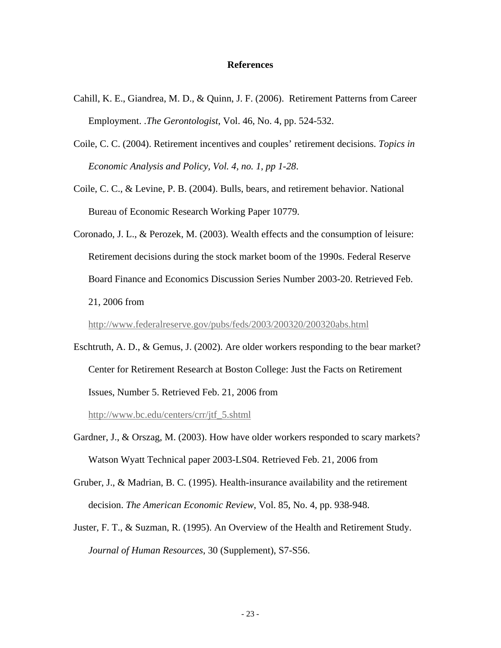#### **References**

- Cahill, K. E., Giandrea, M. D., & Quinn, J. F. (2006). Retirement Patterns from Career Employment. .*The Gerontologist*, Vol. 46, No. 4, pp. 524-532.
- Coile, C. C. (2004). Retirement incentives and couples' retirement decisions. *Topics in Economic Analysis and Policy, Vol. 4, no. 1, pp 1-28*.
- Coile, C. C., & Levine, P. B. (2004). Bulls, bears, and retirement behavior. National Bureau of Economic Research Working Paper 10779.
- Coronado, J. L., & Perozek, M. (2003). Wealth effects and the consumption of leisure: Retirement decisions during the stock market boom of the 1990s. Federal Reserve Board Finance and Economics Discussion Series Number 2003-20. Retrieved Feb. 21, 2006 from

<http://www.federalreserve.gov/pubs/feds/2003/200320/200320abs.html>

Eschtruth, A. D., & Gemus, J. (2002). Are older workers responding to the bear market? Center for Retirement Research at Boston College: Just the Facts on Retirement Issues, Number 5. Retrieved Feb. 21, 2006 from

[http://www.bc.edu/centers/crr/jtf\\_5.shtml](http://www.bc.edu/centers/crr/jtf_5.shtml)

- Gardner, J., & Orszag, M. (2003). How have older workers responded to scary markets? Watson Wyatt Technical paper 2003-LS04. Retrieved Feb. 21, 2006 from
- Gruber, J., & Madrian, B. C. (1995). Health-insurance availability and the retirement decision. *The American Economic Review*, Vol. 85, No. 4, pp. 938-948.
- Juster, F. T., & Suzman, R. (1995). An Overview of the Health and Retirement Study. *Journal of Human Resources*, 30 (Supplement), S7-S56.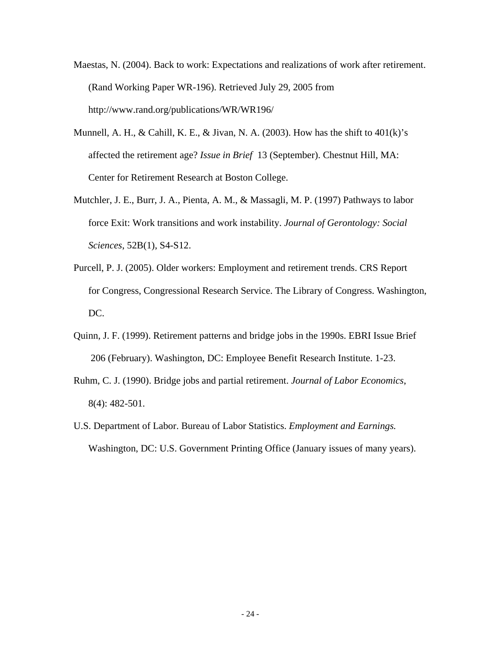- Maestas, N. (2004). Back to work: Expectations and realizations of work after retirement. (Rand Working Paper WR-196). Retrieved July 29, 2005 from http://www.rand.org/publications/WR/WR196/
- Munnell, A. H., & Cahill, K. E., & Jivan, N. A. (2003). How has the shift to  $401(k)$ 's affected the retirement age? *Issue in Brief* 13 (September). Chestnut Hill, MA: Center for Retirement Research at Boston College.
- Mutchler, J. E., Burr, J. A., Pienta, A. M., & Massagli, M. P. (1997) Pathways to labor force Exit: Work transitions and work instability. *Journal of Gerontology: Social Sciences*, 52B(1), S4-S12.
- Purcell, P. J. (2005). Older workers: Employment and retirement trends. CRS Report for Congress, Congressional Research Service. The Library of Congress. Washington, DC.
- Quinn, J. F. (1999). Retirement patterns and bridge jobs in the 1990s. EBRI Issue Brief 206 (February). Washington, DC: Employee Benefit Research Institute. 1-23.
- Ruhm, C. J. (1990). Bridge jobs and partial retirement. *Journal of Labor Economics*, 8(4): 482-501.
- U.S. Department of Labor. Bureau of Labor Statistics. *Employment and Earnings.* Washington, DC: U.S. Government Printing Office (January issues of many years).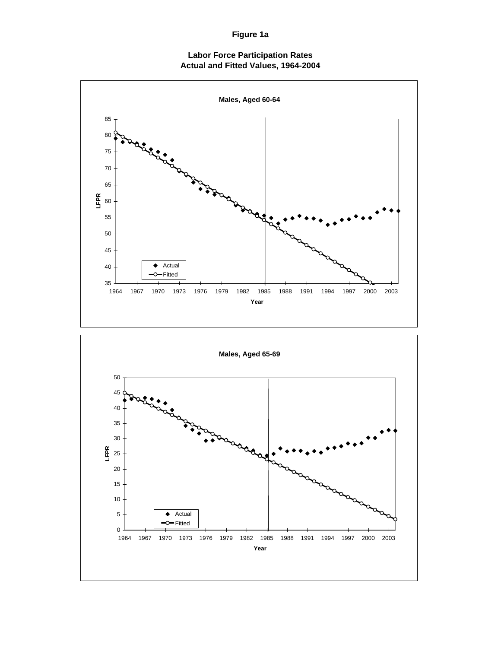**Figure 1a**

**Labor Force Participation Rates Actual and Fitted Values, 1964-2004**

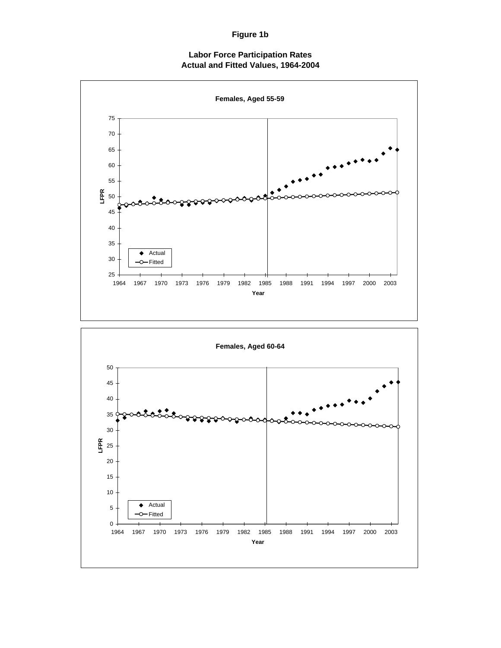### **Figure 1b**

#### **Labor Force Participation Rates Actual and Fitted Values, 1964-2004**



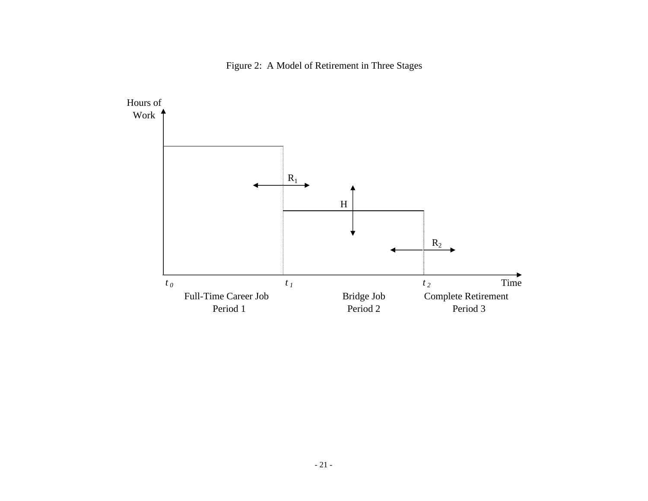

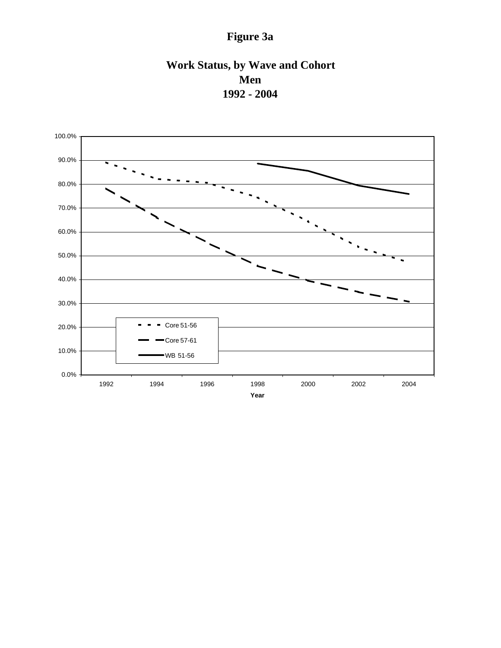# **Figure 3a**

# **Work Status, by Wave and Cohort Men 1992 - 2004**

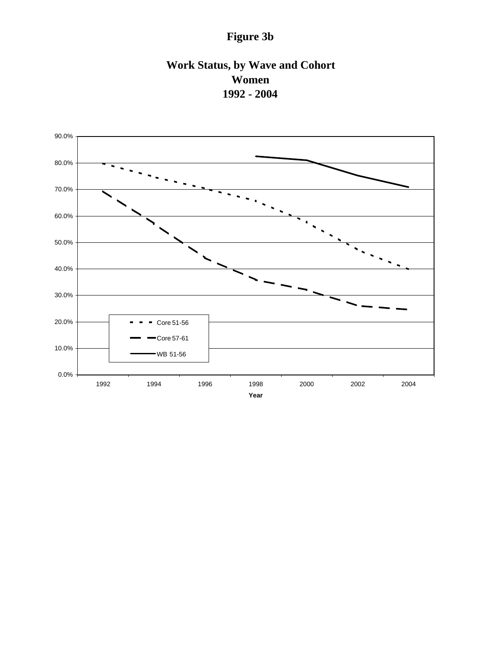# **Figure 3b**

# **Work Status, by Wave and Cohort Women 1992 - 2004**

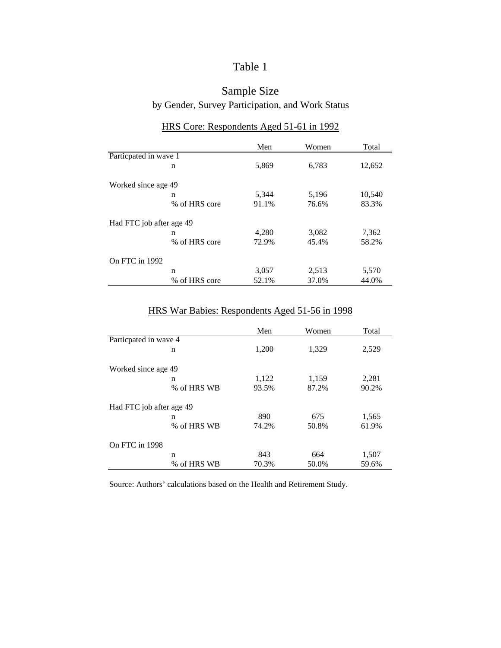### Table 1

### Sample Size by Gender, Survey Participation, and Work Status

|                          | Men   | Women | Total  |
|--------------------------|-------|-------|--------|
| Particpated in wave 1    |       |       |        |
| n                        | 5,869 | 6,783 | 12,652 |
| Worked since age 49      |       |       |        |
| n                        | 5,344 | 5,196 | 10,540 |
| % of HRS core            | 91.1% | 76.6% | 83.3%  |
| Had FTC job after age 49 |       |       |        |
| n                        | 4,280 | 3,082 | 7,362  |
| % of HRS core            | 72.9% | 45.4% | 58.2%  |
| On FTC in 1992           |       |       |        |
| n                        | 3,057 | 2,513 | 5,570  |
| % of HRS core            | 52.1% | 37.0% | 44.0%  |

### HRS Core: Respondents Aged 51-61 in 1992

# HRS War Babies: Respondents Aged 51-56 in 1998

|                          |             | Men   | Women | Total |
|--------------------------|-------------|-------|-------|-------|
| Particpated in wave 4    |             |       |       |       |
|                          | n           | 1,200 | 1,329 | 2,529 |
| Worked since age 49      |             |       |       |       |
|                          | n           | 1,122 | 1,159 | 2,281 |
|                          | % of HRS WB | 93.5% | 87.2% | 90.2% |
| Had FTC job after age 49 |             |       |       |       |
|                          | n           | 890   | 675   | 1,565 |
|                          | % of HRS WB | 74.2% | 50.8% | 61.9% |
| On FTC in 1998           |             |       |       |       |
|                          | n           | 843   | 664   | 1,507 |
|                          | % of HRS WB | 70.3% | 50.0% | 59.6% |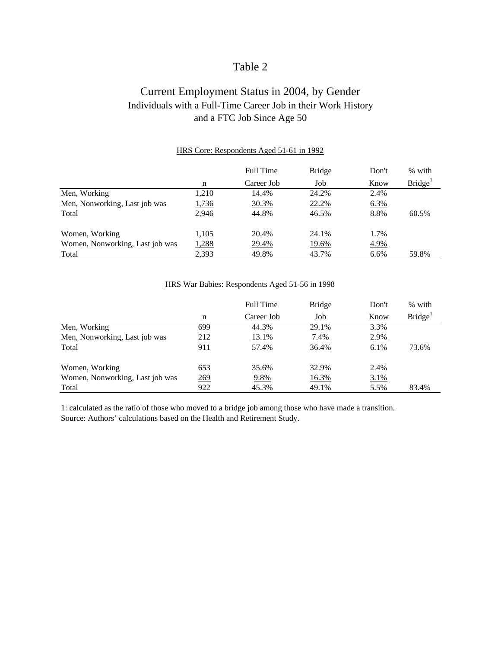### Table 2

### Current Employment Status in 2004, by Gender Individuals with a Full-Time Career Job in their Work History and a FTC Job Since Age 50

|                                 |       | <b>Full Time</b> | <b>Bridge</b> | Don't | % with              |
|---------------------------------|-------|------------------|---------------|-------|---------------------|
|                                 | n     | Career Job       | Job           | Know  | Bridge <sup>1</sup> |
| Men, Working                    | 1,210 | 14.4%            | 24.2%         | 2.4%  |                     |
| Men, Nonworking, Last job was   | 1,736 | 30.3%            | 22.2%         | 6.3%  |                     |
| Total                           | 2.946 | 44.8%            | 46.5%         | 8.8%  | 60.5%               |
| Women, Working                  | 1,105 | 20.4%            | 24.1%         | 1.7%  |                     |
| Women, Nonworking, Last job was | 1,288 | 29.4%            | <u>19.6%</u>  | 4.9%  |                     |
| Total                           | 2,393 | 49.8%            | 43.7%         | 6.6%  | 59.8%               |

#### HRS Core: Respondents Aged 51-61 in 1992

#### HRS War Babies: Respondents Aged 51-56 in 1998

|                                 |     | <b>Full Time</b> | <b>Bridge</b> | Don't   | % with              |
|---------------------------------|-----|------------------|---------------|---------|---------------------|
|                                 | n   | Career Job       | Job           | Know    | Bridge <sup>1</sup> |
| Men, Working                    | 699 | 44.3%            | 29.1%         | 3.3%    |                     |
| Men, Nonworking, Last job was   | 212 | <u>13.1%</u>     | 7.4%          | 2.9%    |                     |
| Total                           | 911 | 57.4%            | 36.4%         | $6.1\%$ | 73.6%               |
| Women, Working                  | 653 | 35.6%            | 32.9%         | 2.4%    |                     |
| Women, Nonworking, Last job was | 269 | 9.8%             | <u>16.3%</u>  | 3.1%    |                     |
| Total                           | 922 | 45.3%            | 49.1%         | 5.5%    | 83.4%               |

1: calculated as the ratio of those who moved to a bridge job among those who have made a transition. Source: Authors' calculations based on the Health and Retirement Study.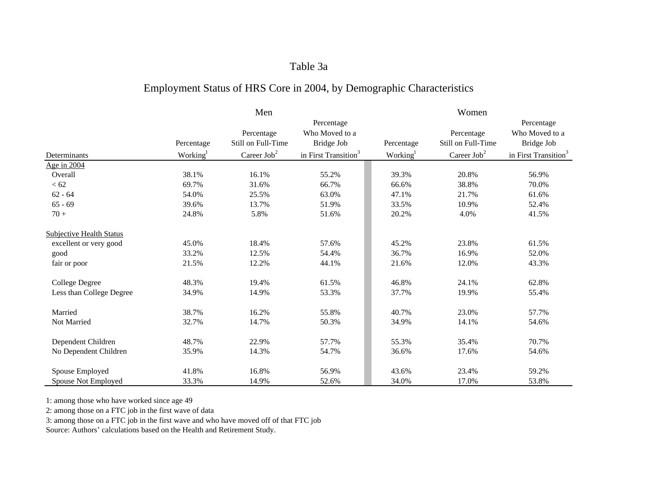#### Table 3a

### Employment Status of HRS Core in 2004, by Demographic Characteristics

|                                 |                      | Men                     |                                  |                      | Women              |                                  |
|---------------------------------|----------------------|-------------------------|----------------------------------|----------------------|--------------------|----------------------------------|
|                                 |                      |                         | Percentage                       |                      |                    | Percentage                       |
|                                 |                      | Percentage              | Who Moved to a                   |                      | Percentage         | Who Moved to a                   |
|                                 | Percentage           | Still on Full-Time      | Bridge Job                       | Percentage           | Still on Full-Time | Bridge Job                       |
| Determinants                    | Working <sup>1</sup> | Career Job <sup>2</sup> | in First Transition <sup>3</sup> | Working <sup>1</sup> | Career $Job2$      | in First Transition <sup>3</sup> |
| Age in 2004                     |                      |                         |                                  |                      |                    |                                  |
| Overall                         | 38.1%                | 16.1%                   | 55.2%                            | 39.3%                | 20.8%              | 56.9%                            |
| $< 62$                          | 69.7%                | 31.6%                   | 66.7%                            | 66.6%                | 38.8%              | 70.0%                            |
| $62 - 64$                       | 54.0%                | 25.5%                   | 63.0%                            | 47.1%                | 21.7%              | 61.6%                            |
| $65 - 69$                       | 39.6%                | 13.7%                   | 51.9%                            | 33.5%                | 10.9%              | 52.4%                            |
| $70+$                           | 24.8%                | 5.8%                    | 51.6%                            | 20.2%                | 4.0%               | 41.5%                            |
| <b>Subjective Health Status</b> |                      |                         |                                  |                      |                    |                                  |
| excellent or very good          | 45.0%                | 18.4%                   | 57.6%                            | 45.2%                | 23.8%              | 61.5%                            |
| good                            | 33.2%                | 12.5%                   | 54.4%                            | 36.7%                | 16.9%              | 52.0%                            |
| fair or poor                    | 21.5%                | 12.2%                   | 44.1%                            | 21.6%                | 12.0%              | 43.3%                            |
| <b>College Degree</b>           | 48.3%                | 19.4%                   | 61.5%                            | 46.8%                | 24.1%              | 62.8%                            |
| Less than College Degree        | 34.9%                | 14.9%                   | 53.3%                            | 37.7%                | 19.9%              | 55.4%                            |
| Married                         | 38.7%                | 16.2%                   | 55.8%                            | 40.7%                | 23.0%              | 57.7%                            |
| Not Married                     | 32.7%                | 14.7%                   | 50.3%                            | 34.9%                | 14.1%              | 54.6%                            |
| Dependent Children              | 48.7%                | 22.9%                   | 57.7%                            | 55.3%                | 35.4%              | 70.7%                            |
| No Dependent Children           | 35.9%                | 14.3%                   | 54.7%                            | 36.6%                | 17.6%              | 54.6%                            |
| Spouse Employed                 | 41.8%                | 16.8%                   | 56.9%                            | 43.6%                | 23.4%              | 59.2%                            |
| Spouse Not Employed             | 33.3%                | 14.9%                   | 52.6%                            | 34.0%                | 17.0%              | 53.8%                            |

1: among those who have worked since age 49

2: among those on a FTC job in the first wave of data

3: among those on a FTC job in the first wave and who have moved off of that FTC job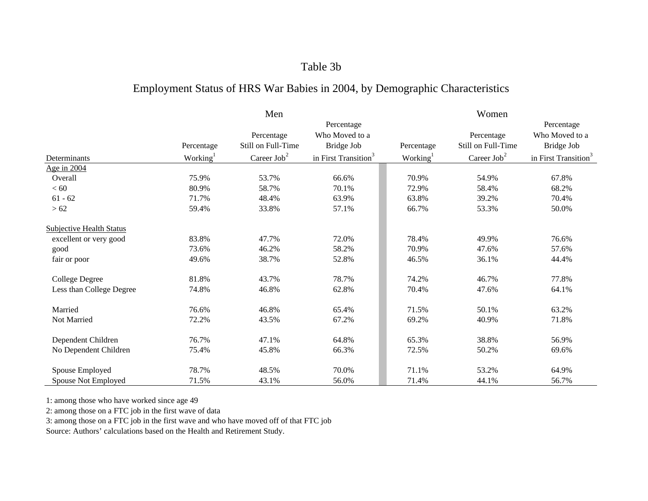### Table 3b

# Employment Status of HRS War Babies in 2004, by Demographic Characteristics

|                                 |                      | Men                              |                                            |                      | Women                            |                                            |
|---------------------------------|----------------------|----------------------------------|--------------------------------------------|----------------------|----------------------------------|--------------------------------------------|
|                                 | Percentage           | Percentage<br>Still on Full-Time | Percentage<br>Who Moved to a<br>Bridge Job | Percentage           | Percentage<br>Still on Full-Time | Percentage<br>Who Moved to a<br>Bridge Job |
| Determinants                    | Working <sup>1</sup> | Career $Job2$                    | in First Transition <sup>3</sup>           | Working <sup>1</sup> | Career $Job2$                    | in First Transition <sup>3</sup>           |
| Age in 2004                     |                      |                                  |                                            |                      |                                  |                                            |
| Overall                         | 75.9%                | 53.7%                            | 66.6%                                      | 70.9%                | 54.9%                            | 67.8%                                      |
| $< 60$                          | 80.9%                | 58.7%                            | 70.1%                                      | 72.9%                | 58.4%                            | 68.2%                                      |
| $61 - 62$                       | 71.7%                | 48.4%                            | 63.9%                                      | 63.8%                | 39.2%                            | 70.4%                                      |
| >62                             | 59.4%                | 33.8%                            | 57.1%                                      | 66.7%                | 53.3%                            | 50.0%                                      |
| <b>Subjective Health Status</b> |                      |                                  |                                            |                      |                                  |                                            |
| excellent or very good          | 83.8%                | 47.7%                            | 72.0%                                      | 78.4%                | 49.9%                            | 76.6%                                      |
| good                            | 73.6%                | 46.2%                            | 58.2%                                      | 70.9%                | 47.6%                            | 57.6%                                      |
| fair or poor                    | 49.6%                | 38.7%                            | 52.8%                                      | 46.5%                | 36.1%                            | 44.4%                                      |
| <b>College Degree</b>           | 81.8%                | 43.7%                            | 78.7%                                      | 74.2%                | 46.7%                            | 77.8%                                      |
| Less than College Degree        | 74.8%                | 46.8%                            | 62.8%                                      | 70.4%                | 47.6%                            | 64.1%                                      |
| Married                         | 76.6%                | 46.8%                            | 65.4%                                      | 71.5%                | 50.1%                            | 63.2%                                      |
| Not Married                     | 72.2%                | 43.5%                            | 67.2%                                      | 69.2%                | 40.9%                            | 71.8%                                      |
| Dependent Children              | 76.7%                | 47.1%                            | 64.8%                                      | 65.3%                | 38.8%                            | 56.9%                                      |
| No Dependent Children           | 75.4%                | 45.8%                            | 66.3%                                      | 72.5%                | 50.2%                            | 69.6%                                      |
| Spouse Employed                 | 78.7%                | 48.5%                            | 70.0%                                      | 71.1%                | 53.2%                            | 64.9%                                      |
| Spouse Not Employed             | 71.5%                | 43.1%                            | 56.0%                                      | 71.4%                | 44.1%                            | 56.7%                                      |

1: among those who have worked since age 49

2: among those on a FTC job in the first wave of data

3: among those on a FTC job in the first wave and who have moved off of that FTC job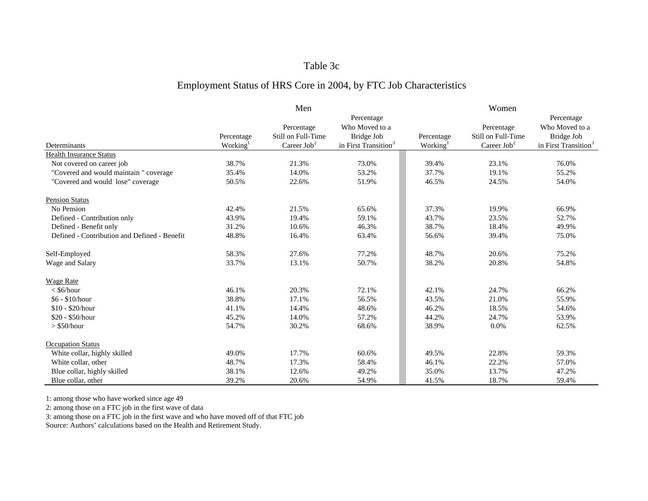#### Table 3c

### Employment Status of HRS Core in 2004, by FTC Job Characteristics

|                                              |            | Men                |                                  |                      | Women                 |                                  |
|----------------------------------------------|------------|--------------------|----------------------------------|----------------------|-----------------------|----------------------------------|
|                                              |            |                    | Percentage                       |                      |                       | Percentage                       |
|                                              |            | Percentage         | Who Moved to a                   |                      | Percentage            | Who Moved to a                   |
|                                              | Percentage | Still on Full-Time | Bridge Job                       | Percentage           | Still on Full-Time    | Bridge Job                       |
| Determinants                                 | Working    | Career $Job2$      | in First Transition <sup>3</sup> | Working <sup>1</sup> | Career $\text{Job}^2$ | in First Transition <sup>3</sup> |
| <b>Health Insurance Status</b>               |            |                    |                                  |                      |                       |                                  |
| Not covered on career job                    | 38.7%      | 21.3%              | 73.0%                            | 39.4%                | 23.1%                 | 76.0%                            |
| "Covered and would maintain " coverage       | 35.4%      | 14.0%              | 53.2%                            | 37.7%                | 19.1%                 | 55.2%                            |
| "Covered and would lose" coverage            | 50.5%      | 22.6%              | 51.9%                            | 46.5%                | 24.5%                 | 54.0%                            |
| <b>Pension Status</b>                        |            |                    |                                  |                      |                       |                                  |
| No Pension                                   | 42.4%      | 21.5%              | 65.6%                            | 37.3%                | 19.9%                 | 66.9%                            |
| Defined - Contribution only                  | 43.9%      | 19.4%              | 59.1%                            | 43.7%                | 23.5%                 | 52.7%                            |
| Defined - Benefit only                       | 31.2%      | 10.6%              | 46.3%                            | 38.7%                | 18.4%                 | 49.9%                            |
| Defined - Contribution and Defined - Benefit | 48.8%      | 16.4%              | 63.4%                            | 56.6%                | 39.4%                 | 75.0%                            |
| Self-Employed                                | 58.3%      | 27.6%              | 77.2%                            | 48.7%                | 20.6%                 | 75.2%                            |
| Wage and Salary                              | 33.7%      | 13.1%              | 50.7%                            | 38.2%                | 20.8%                 | 54.8%                            |
| <b>Wage Rate</b>                             |            |                    |                                  |                      |                       |                                  |
| $<$ \$6/hour                                 | 46.1%      | 20.3%              | 72.1%                            | 42.1%                | 24.7%                 | 66.2%                            |
| \$6 - \$10/hour                              | 38.8%      | 17.1%              | 56.5%                            | 43.5%                | 21.0%                 | 55.9%                            |
| $$10 - $20/h$ our                            | 41.1%      | 14.4%              | 48.6%                            | 46.2%                | 18.5%                 | 54.6%                            |
| \$20 - \$50/hour                             | 45.2%      | 14.0%              | 57.2%                            | 44.2%                | 24.7%                 | 53.9%                            |
| $>$ \$50/hour                                | 54.7%      | 30.2%              | 68.6%                            | 38.9%                | 0.0%                  | 62.5%                            |
| <b>Occupation Status</b>                     |            |                    |                                  |                      |                       |                                  |
| White collar, highly skilled                 | 49.0%      | 17.7%              | 60.6%                            | 49.5%                | 22.8%                 | 59.3%                            |
| White collar, other                          | 48.7%      | 17.3%              | 58.4%                            | 46.1%                | 22.2%                 | 57.0%                            |
| Blue collar, highly skilled                  | 38.1%      | 12.6%              | 49.2%                            | 35.0%                | 13.7%                 | 47.2%                            |
| Blue collar, other                           | 39.2%      | 20.6%              | 54.9%                            | 41.5%                | 18.7%                 | 59.4%                            |

1: among those who have worked since age 49

2: among those on a FTC job in the first wave of data

3: among those on a FTC job in the first wave and who have moved off of that FTC job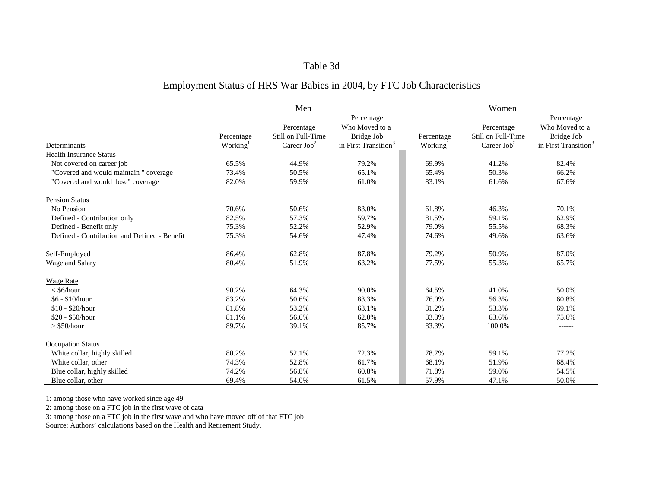#### Table 3d

### Employment Status of HRS War Babies in 2004, by FTC Job Characteristics

|                                              |            | Men                |                                  |                      | Women                 |                                  |
|----------------------------------------------|------------|--------------------|----------------------------------|----------------------|-----------------------|----------------------------------|
|                                              |            |                    | Percentage                       |                      |                       | Percentage                       |
|                                              |            | Percentage         | Who Moved to a                   |                      | Percentage            | Who Moved to a                   |
|                                              | Percentage | Still on Full-Time | Bridge Job                       | Percentage           | Still on Full-Time    | Bridge Job                       |
| Determinants                                 | Working    | Career $Job2$      | in First Transition <sup>3</sup> | Working <sup>1</sup> | Career $\text{Job}^2$ | in First Transition <sup>3</sup> |
| <b>Health Insurance Status</b>               |            |                    |                                  |                      |                       |                                  |
| Not covered on career job                    | 65.5%      | 44.9%              | 79.2%                            | 69.9%                | 41.2%                 | 82.4%                            |
| "Covered and would maintain" coverage        | 73.4%      | 50.5%              | 65.1%                            | 65.4%                | 50.3%                 | 66.2%                            |
| "Covered and would lose" coverage            | 82.0%      | 59.9%              | 61.0%                            | 83.1%                | 61.6%                 | 67.6%                            |
| <b>Pension Status</b>                        |            |                    |                                  |                      |                       |                                  |
| No Pension                                   | 70.6%      | 50.6%              | 83.0%                            | 61.8%                | 46.3%                 | 70.1%                            |
| Defined - Contribution only                  | 82.5%      | 57.3%              | 59.7%                            | 81.5%                | 59.1%                 | 62.9%                            |
| Defined - Benefit only                       | 75.3%      | 52.2%              | 52.9%                            | 79.0%                | 55.5%                 | 68.3%                            |
| Defined - Contribution and Defined - Benefit | 75.3%      | 54.6%              | 47.4%                            | 74.6%                | 49.6%                 | 63.6%                            |
| Self-Employed                                | 86.4%      | 62.8%              | 87.8%                            | 79.2%                | 50.9%                 | 87.0%                            |
| Wage and Salary                              | 80.4%      | 51.9%              | 63.2%                            | 77.5%                | 55.3%                 | 65.7%                            |
| <b>Wage Rate</b>                             |            |                    |                                  |                      |                       |                                  |
| $<$ \$6/hour                                 | 90.2%      | 64.3%              | 90.0%                            | 64.5%                | 41.0%                 | 50.0%                            |
| \$6 - \$10/hour                              | 83.2%      | 50.6%              | 83.3%                            | 76.0%                | 56.3%                 | 60.8%                            |
| $$10 - $20/h$ our                            | 81.8%      | 53.2%              | 63.1%                            | 81.2%                | 53.3%                 | 69.1%                            |
| \$20 - \$50/hour                             | 81.1%      | 56.6%              | 62.0%                            | 83.3%                | 63.6%                 | 75.6%                            |
| $>$ \$50/hour                                | 89.7%      | 39.1%              | 85.7%                            | 83.3%                | 100.0%                | $------$                         |
| <b>Occupation Status</b>                     |            |                    |                                  |                      |                       |                                  |
| White collar, highly skilled                 | 80.2%      | 52.1%              | 72.3%                            | 78.7%                | 59.1%                 | 77.2%                            |
| White collar, other                          | 74.3%      | 52.8%              | 61.7%                            | 68.1%                | 51.9%                 | 68.4%                            |
| Blue collar, highly skilled                  | 74.2%      | 56.8%              | 60.8%                            | 71.8%                | 59.0%                 | 54.5%                            |
| Blue collar, other                           | 69.4%      | 54.0%              | 61.5%                            | 57.9%                | 47.1%                 | 50.0%                            |

1: among those who have worked since age 49

2: among those on a FTC job in the first wave of data

3: among those on a FTC job in the first wave and who have moved off of that FTC job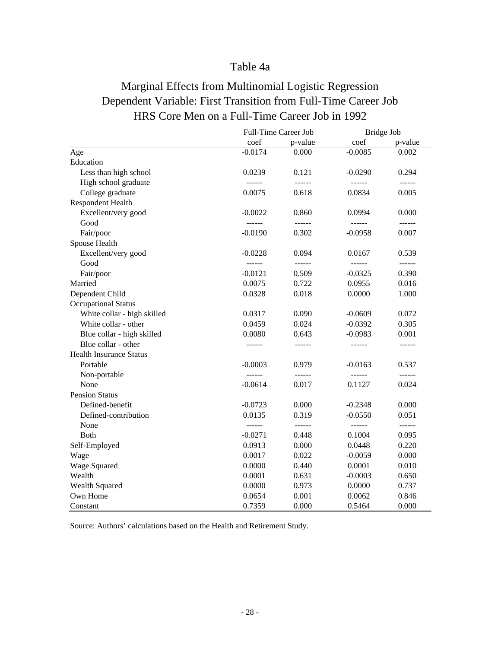### Table 4a

# Marginal Effects from Multinomial Logistic Regression Dependent Variable: First Transition from Full-Time Career Job HRS Core Men on a Full-Time Career Job in 1992

|                                |               | Full-Time Career Job | Bridge Job |               |
|--------------------------------|---------------|----------------------|------------|---------------|
|                                | coef          | p-value              | coef       | p-value       |
| Age                            | $-0.0174$     | 0.000                | $-0.0085$  | 0.002         |
| Education                      |               |                      |            |               |
| Less than high school          | 0.0239        | 0.121                | $-0.0290$  | 0.294         |
| High school graduate           | ------        | ------               | ------     | ------        |
| College graduate               | 0.0075        | 0.618                | 0.0834     | 0.005         |
| Respondent Health              |               |                      |            |               |
| Excellent/very good            | $-0.0022$     | 0.860                | 0.0994     | 0.000         |
| Good                           | $- - - - - -$ | $- - - - - -$        | ------     |               |
| Fair/poor                      | $-0.0190$     | 0.302                | $-0.0958$  | 0.007         |
| Spouse Health                  |               |                      |            |               |
| Excellent/very good            | $-0.0228$     | 0.094                | 0.0167     | 0.539         |
| Good                           | ------        | $- - - - - -$        |            | $- - - - - -$ |
| Fair/poor                      | $-0.0121$     | 0.509                | $-0.0325$  | 0.390         |
| Married                        | 0.0075        | 0.722                | 0.0955     | 0.016         |
| Dependent Child                | 0.0328        | 0.018                | 0.0000     | 1.000         |
| <b>Occupational Status</b>     |               |                      |            |               |
| White collar - high skilled    | 0.0317        | 0.090                | $-0.0609$  | 0.072         |
| White collar - other           | 0.0459        | 0.024                | $-0.0392$  | 0.305         |
| Blue collar - high skilled     | 0.0080        | 0.643                | $-0.0983$  | 0.001         |
| Blue collar - other            |               | ------               | ------     | ------        |
| <b>Health Insurance Status</b> |               |                      |            |               |
| Portable                       | $-0.0003$     | 0.979                | $-0.0163$  | 0.537         |
| Non-portable                   |               | $- - - - - -$        |            |               |
| None                           | $-0.0614$     | 0.017                | 0.1127     | 0.024         |
| <b>Pension Status</b>          |               |                      |            |               |
| Defined-benefit                | $-0.0723$     | 0.000                | $-0.2348$  | 0.000         |
| Defined-contribution           | 0.0135        | 0.319                | $-0.0550$  | 0.051         |
| None                           | ------        | $- - - - - -$        | ------     | -------       |
| <b>Both</b>                    | $-0.0271$     | 0.448                | 0.1004     | 0.095         |
| Self-Employed                  | 0.0913        | 0.000                | 0.0448     | 0.220         |
| Wage                           | 0.0017        | 0.022                | $-0.0059$  | 0.000         |
| Wage Squared                   | 0.0000        | 0.440                | 0.0001     | 0.010         |
| Wealth                         | 0.0001        | 0.631                | $-0.0003$  | 0.650         |
| <b>Wealth Squared</b>          | 0.0000        | 0.973                | 0.0000     | 0.737         |
| Own Home                       | 0.0654        | 0.001                | 0.0062     | 0.846         |
| Constant                       | 0.7359        | 0.000                | 0.5464     | 0.000         |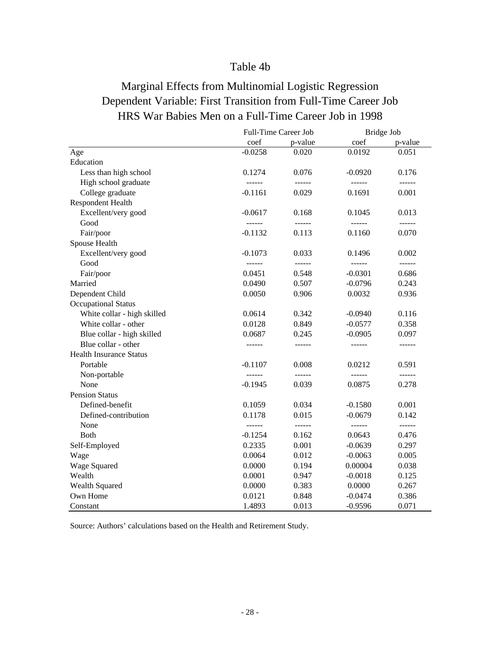### Table 4b

# Marginal Effects from Multinomial Logistic Regression Dependent Variable: First Transition from Full-Time Career Job HRS War Babies Men on a Full-Time Career Job in 1998

|                                | Full-Time Career Job |                                                                                                                                                                                                                                                                                                                                                                                                                                                                                        | Bridge Job |         |
|--------------------------------|----------------------|----------------------------------------------------------------------------------------------------------------------------------------------------------------------------------------------------------------------------------------------------------------------------------------------------------------------------------------------------------------------------------------------------------------------------------------------------------------------------------------|------------|---------|
|                                | coef                 | p-value                                                                                                                                                                                                                                                                                                                                                                                                                                                                                | coef       | p-value |
| Age                            | $-0.0258$            | 0.020                                                                                                                                                                                                                                                                                                                                                                                                                                                                                  | 0.0192     | 0.051   |
| Education                      |                      |                                                                                                                                                                                                                                                                                                                                                                                                                                                                                        |            |         |
| Less than high school          | 0.1274               | 0.076                                                                                                                                                                                                                                                                                                                                                                                                                                                                                  | $-0.0920$  | 0.176   |
| High school graduate           | ------               | ------                                                                                                                                                                                                                                                                                                                                                                                                                                                                                 | ------     | ------- |
| College graduate               | $-0.1161$            | 0.029                                                                                                                                                                                                                                                                                                                                                                                                                                                                                  | 0.1691     | 0.001   |
| Respondent Health              |                      |                                                                                                                                                                                                                                                                                                                                                                                                                                                                                        |            |         |
| Excellent/very good            | $-0.0617$            | 0.168                                                                                                                                                                                                                                                                                                                                                                                                                                                                                  | 0.1045     | 0.013   |
| Good                           | $- - - - - -$        | $\begin{array}{cccccccccc} \multicolumn{2}{c}{} & \multicolumn{2}{c}{} & \multicolumn{2}{c}{} & \multicolumn{2}{c}{} & \multicolumn{2}{c}{} & \multicolumn{2}{c}{} & \multicolumn{2}{c}{} & \multicolumn{2}{c}{} & \multicolumn{2}{c}{} & \multicolumn{2}{c}{} & \multicolumn{2}{c}{} & \multicolumn{2}{c}{} & \multicolumn{2}{c}{} & \multicolumn{2}{c}{} & \multicolumn{2}{c}{} & \multicolumn{2}{c}{} & \multicolumn{2}{c}{} & \multicolumn{2}{c}{} & \multicolumn{2}{c}{} & \mult$ |            |         |
| Fair/poor                      | $-0.1132$            | 0.113                                                                                                                                                                                                                                                                                                                                                                                                                                                                                  | 0.1160     | 0.070   |
| Spouse Health                  |                      |                                                                                                                                                                                                                                                                                                                                                                                                                                                                                        |            |         |
| Excellent/very good            | $-0.1073$            | 0.033                                                                                                                                                                                                                                                                                                                                                                                                                                                                                  | 0.1496     | 0.002   |
| Good                           |                      |                                                                                                                                                                                                                                                                                                                                                                                                                                                                                        | ------     |         |
| Fair/poor                      | 0.0451               | 0.548                                                                                                                                                                                                                                                                                                                                                                                                                                                                                  | $-0.0301$  | 0.686   |
| Married                        | 0.0490               | 0.507                                                                                                                                                                                                                                                                                                                                                                                                                                                                                  | $-0.0796$  | 0.243   |
| Dependent Child                | 0.0050               | 0.906                                                                                                                                                                                                                                                                                                                                                                                                                                                                                  | 0.0032     | 0.936   |
| <b>Occupational Status</b>     |                      |                                                                                                                                                                                                                                                                                                                                                                                                                                                                                        |            |         |
| White collar - high skilled    | 0.0614               | 0.342                                                                                                                                                                                                                                                                                                                                                                                                                                                                                  | $-0.0940$  | 0.116   |
| White collar - other           | 0.0128               | 0.849                                                                                                                                                                                                                                                                                                                                                                                                                                                                                  | $-0.0577$  | 0.358   |
| Blue collar - high skilled     | 0.0687               | 0.245                                                                                                                                                                                                                                                                                                                                                                                                                                                                                  | $-0.0905$  | 0.097   |
| Blue collar - other            |                      | ------                                                                                                                                                                                                                                                                                                                                                                                                                                                                                 | ------     | ------  |
| <b>Health Insurance Status</b> |                      |                                                                                                                                                                                                                                                                                                                                                                                                                                                                                        |            |         |
| Portable                       | $-0.1107$            | 0.008                                                                                                                                                                                                                                                                                                                                                                                                                                                                                  | 0.0212     | 0.591   |
| Non-portable                   |                      | ------                                                                                                                                                                                                                                                                                                                                                                                                                                                                                 |            |         |
| None                           | $-0.1945$            | 0.039                                                                                                                                                                                                                                                                                                                                                                                                                                                                                  | 0.0875     | 0.278   |
| <b>Pension Status</b>          |                      |                                                                                                                                                                                                                                                                                                                                                                                                                                                                                        |            |         |
| Defined-benefit                | 0.1059               | 0.034                                                                                                                                                                                                                                                                                                                                                                                                                                                                                  | $-0.1580$  | 0.001   |
| Defined-contribution           | 0.1178               | 0.015                                                                                                                                                                                                                                                                                                                                                                                                                                                                                  | $-0.0679$  | 0.142   |
| None                           | ------               | $- - - - - -$                                                                                                                                                                                                                                                                                                                                                                                                                                                                          | ------     | ------  |
| <b>Both</b>                    | $-0.1254$            | 0.162                                                                                                                                                                                                                                                                                                                                                                                                                                                                                  | 0.0643     | 0.476   |
| Self-Employed                  | 0.2335               | 0.001                                                                                                                                                                                                                                                                                                                                                                                                                                                                                  | $-0.0639$  | 0.297   |
| Wage                           | 0.0064               | 0.012                                                                                                                                                                                                                                                                                                                                                                                                                                                                                  | $-0.0063$  | 0.005   |
| Wage Squared                   | 0.0000               | 0.194                                                                                                                                                                                                                                                                                                                                                                                                                                                                                  | 0.00004    | 0.038   |
| Wealth                         | 0.0001               | 0.947                                                                                                                                                                                                                                                                                                                                                                                                                                                                                  | $-0.0018$  | 0.125   |
| Wealth Squared                 | 0.0000               | 0.383                                                                                                                                                                                                                                                                                                                                                                                                                                                                                  | 0.0000     | 0.267   |
| Own Home                       | 0.0121               | 0.848                                                                                                                                                                                                                                                                                                                                                                                                                                                                                  | $-0.0474$  | 0.386   |
| Constant                       | 1.4893               | 0.013                                                                                                                                                                                                                                                                                                                                                                                                                                                                                  | $-0.9596$  | 0.071   |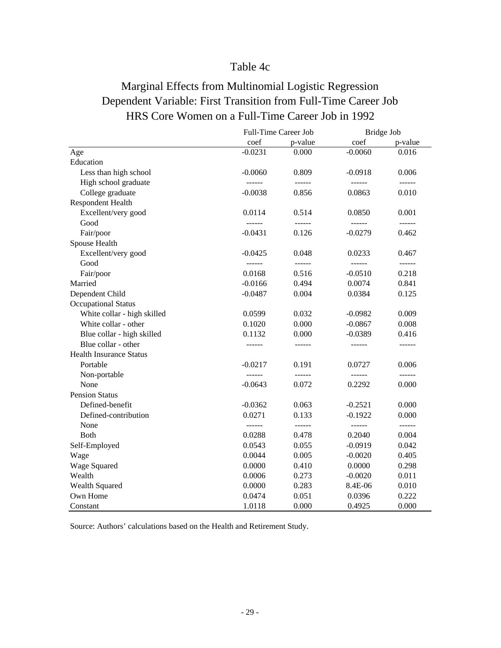### Table 4c

# Marginal Effects from Multinomial Logistic Regression Dependent Variable: First Transition from Full-Time Career Job HRS Core Women on a Full-Time Career Job in 1992

|                                |           | Full-Time Career Job | Bridge Job |                                                                                                                                                                                                                                                                                                                                                                                                                                                         |
|--------------------------------|-----------|----------------------|------------|---------------------------------------------------------------------------------------------------------------------------------------------------------------------------------------------------------------------------------------------------------------------------------------------------------------------------------------------------------------------------------------------------------------------------------------------------------|
|                                | coef      | p-value              | coef       | p-value                                                                                                                                                                                                                                                                                                                                                                                                                                                 |
| Age                            | $-0.0231$ | 0.000                | $-0.0060$  | 0.016                                                                                                                                                                                                                                                                                                                                                                                                                                                   |
| Education                      |           |                      |            |                                                                                                                                                                                                                                                                                                                                                                                                                                                         |
| Less than high school          | $-0.0060$ | 0.809                | $-0.0918$  | 0.006                                                                                                                                                                                                                                                                                                                                                                                                                                                   |
| High school graduate           |           | ------               | ------     | ------                                                                                                                                                                                                                                                                                                                                                                                                                                                  |
| College graduate               | $-0.0038$ | 0.856                | 0.0863     | 0.010                                                                                                                                                                                                                                                                                                                                                                                                                                                   |
| Respondent Health              |           |                      |            |                                                                                                                                                                                                                                                                                                                                                                                                                                                         |
| Excellent/very good            | 0.0114    | 0.514                | 0.0850     | 0.001                                                                                                                                                                                                                                                                                                                                                                                                                                                   |
| Good                           |           | ------               |            | $- - - - - -$                                                                                                                                                                                                                                                                                                                                                                                                                                           |
| Fair/poor                      | $-0.0431$ | 0.126                | $-0.0279$  | 0.462                                                                                                                                                                                                                                                                                                                                                                                                                                                   |
| Spouse Health                  |           |                      |            |                                                                                                                                                                                                                                                                                                                                                                                                                                                         |
| Excellent/very good            | $-0.0425$ | 0.048                | 0.0233     | 0.467                                                                                                                                                                                                                                                                                                                                                                                                                                                   |
| Good                           |           | ------               | ------     | $- - - - - -$                                                                                                                                                                                                                                                                                                                                                                                                                                           |
| Fair/poor                      | 0.0168    | 0.516                | $-0.0510$  | 0.218                                                                                                                                                                                                                                                                                                                                                                                                                                                   |
| Married                        | $-0.0166$ | 0.494                | 0.0074     | 0.841                                                                                                                                                                                                                                                                                                                                                                                                                                                   |
| Dependent Child                | $-0.0487$ | 0.004                | 0.0384     | 0.125                                                                                                                                                                                                                                                                                                                                                                                                                                                   |
| <b>Occupational Status</b>     |           |                      |            |                                                                                                                                                                                                                                                                                                                                                                                                                                                         |
| White collar - high skilled    | 0.0599    | 0.032                | $-0.0982$  | 0.009                                                                                                                                                                                                                                                                                                                                                                                                                                                   |
| White collar - other           | 0.1020    | 0.000                | $-0.0867$  | 0.008                                                                                                                                                                                                                                                                                                                                                                                                                                                   |
| Blue collar - high skilled     | 0.1132    | 0.000                | $-0.0389$  | 0.416                                                                                                                                                                                                                                                                                                                                                                                                                                                   |
| Blue collar - other            |           |                      | ------     |                                                                                                                                                                                                                                                                                                                                                                                                                                                         |
| <b>Health Insurance Status</b> |           |                      |            |                                                                                                                                                                                                                                                                                                                                                                                                                                                         |
| Portable                       | $-0.0217$ | 0.191                | 0.0727     | 0.006                                                                                                                                                                                                                                                                                                                                                                                                                                                   |
| Non-portable                   | ------    | ------               |            | ------                                                                                                                                                                                                                                                                                                                                                                                                                                                  |
| None                           | $-0.0643$ | 0.072                | 0.2292     | 0.000                                                                                                                                                                                                                                                                                                                                                                                                                                                   |
| <b>Pension Status</b>          |           |                      |            |                                                                                                                                                                                                                                                                                                                                                                                                                                                         |
| Defined-benefit                | $-0.0362$ | 0.063                | $-0.2521$  | 0.000                                                                                                                                                                                                                                                                                                                                                                                                                                                   |
| Defined-contribution           | 0.0271    | 0.133                | $-0.1922$  | 0.000                                                                                                                                                                                                                                                                                                                                                                                                                                                   |
| None                           | ------    | ------               | ------     | $\begin{tabular}{ccccc} \multicolumn{2}{c }{\multicolumn{2}{c }{\multicolumn{2}{c }{\multicolumn{2}{c}}{\hspace{-2.2cm}}}} \multicolumn{2}{c }{\multicolumn{2}{c }{\hspace{-2.2cm}}\hline} \multicolumn{2}{c }{\hspace{-2.2cm}}\hline \multicolumn{2}{c }{\hspace{-2.2cm}}\hline \multicolumn{2}{c }{\hspace{-2.2cm}}\hline \multicolumn{2}{c }{\hspace{-2.2cm}}\hline \multicolumn{2}{c }{\hspace{-2.2cm}}\hline \multicolumn{2}{c }{\hspace{-2.2cm}}$ |
| Both                           | 0.0288    | 0.478                | 0.2040     | 0.004                                                                                                                                                                                                                                                                                                                                                                                                                                                   |
| Self-Employed                  | 0.0543    | 0.055                | $-0.0919$  | 0.042                                                                                                                                                                                                                                                                                                                                                                                                                                                   |
| Wage                           | 0.0044    | 0.005                | $-0.0020$  | 0.405                                                                                                                                                                                                                                                                                                                                                                                                                                                   |
| Wage Squared                   | 0.0000    | 0.410                | 0.0000     | 0.298                                                                                                                                                                                                                                                                                                                                                                                                                                                   |
| Wealth                         | 0.0006    | 0.273                | $-0.0020$  | 0.011                                                                                                                                                                                                                                                                                                                                                                                                                                                   |
| Wealth Squared                 | 0.0000    | 0.283                | 8.4E-06    | 0.010                                                                                                                                                                                                                                                                                                                                                                                                                                                   |
| Own Home                       | 0.0474    | 0.051                | 0.0396     | 0.222                                                                                                                                                                                                                                                                                                                                                                                                                                                   |
| Constant                       | 1.0118    | 0.000                | 0.4925     | 0.000                                                                                                                                                                                                                                                                                                                                                                                                                                                   |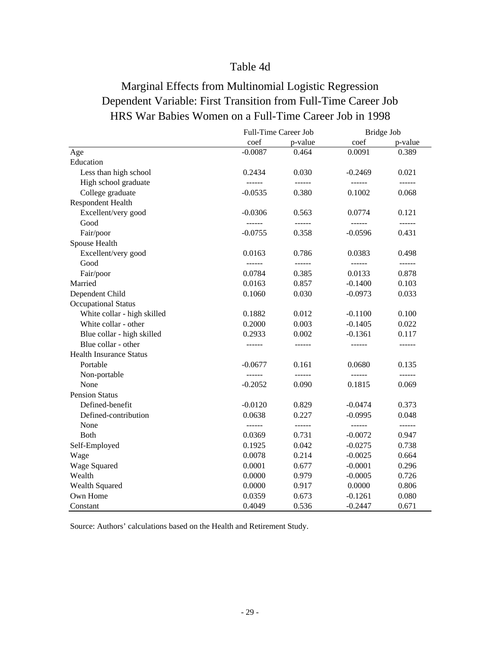### Table 4d

# Marginal Effects from Multinomial Logistic Regression Dependent Variable: First Transition from Full-Time Career Job HRS War Babies Women on a Full-Time Career Job in 1998

|                                |               | Full-Time Career Job | Bridge Job |                                                                                                                                                                                                                                                                                                                                                                                                                                                         |
|--------------------------------|---------------|----------------------|------------|---------------------------------------------------------------------------------------------------------------------------------------------------------------------------------------------------------------------------------------------------------------------------------------------------------------------------------------------------------------------------------------------------------------------------------------------------------|
|                                | coef          | p-value              | coef       | p-value                                                                                                                                                                                                                                                                                                                                                                                                                                                 |
| Age                            | $-0.0087$     | 0.464                | 0.0091     | 0.389                                                                                                                                                                                                                                                                                                                                                                                                                                                   |
| Education                      |               |                      |            |                                                                                                                                                                                                                                                                                                                                                                                                                                                         |
| Less than high school          | 0.2434        | 0.030                | $-0.2469$  | 0.021                                                                                                                                                                                                                                                                                                                                                                                                                                                   |
| High school graduate           | $- - - - - -$ | ------               |            |                                                                                                                                                                                                                                                                                                                                                                                                                                                         |
| College graduate               | $-0.0535$     | 0.380                | 0.1002     | 0.068                                                                                                                                                                                                                                                                                                                                                                                                                                                   |
| Respondent Health              |               |                      |            |                                                                                                                                                                                                                                                                                                                                                                                                                                                         |
| Excellent/very good            | $-0.0306$     | 0.563                | 0.0774     | 0.121                                                                                                                                                                                                                                                                                                                                                                                                                                                   |
| Good                           |               | ------               |            |                                                                                                                                                                                                                                                                                                                                                                                                                                                         |
| Fair/poor                      | $-0.0755$     | 0.358                | $-0.0596$  | 0.431                                                                                                                                                                                                                                                                                                                                                                                                                                                   |
| Spouse Health                  |               |                      |            |                                                                                                                                                                                                                                                                                                                                                                                                                                                         |
| Excellent/very good            | 0.0163        | 0.786                | 0.0383     | 0.498                                                                                                                                                                                                                                                                                                                                                                                                                                                   |
| Good                           |               | ------               | ------     | $- - - - - -$                                                                                                                                                                                                                                                                                                                                                                                                                                           |
| Fair/poor                      | 0.0784        | 0.385                | 0.0133     | 0.878                                                                                                                                                                                                                                                                                                                                                                                                                                                   |
| Married                        | 0.0163        | 0.857                | $-0.1400$  | 0.103                                                                                                                                                                                                                                                                                                                                                                                                                                                   |
| Dependent Child                | 0.1060        | 0.030                | $-0.0973$  | 0.033                                                                                                                                                                                                                                                                                                                                                                                                                                                   |
| <b>Occupational Status</b>     |               |                      |            |                                                                                                                                                                                                                                                                                                                                                                                                                                                         |
| White collar - high skilled    | 0.1882        | 0.012                | $-0.1100$  | 0.100                                                                                                                                                                                                                                                                                                                                                                                                                                                   |
| White collar - other           | 0.2000        | 0.003                | $-0.1405$  | 0.022                                                                                                                                                                                                                                                                                                                                                                                                                                                   |
| Blue collar - high skilled     | 0.2933        | 0.002                | $-0.1361$  | 0.117                                                                                                                                                                                                                                                                                                                                                                                                                                                   |
| Blue collar - other            |               | ------               | ------     | ------                                                                                                                                                                                                                                                                                                                                                                                                                                                  |
| <b>Health Insurance Status</b> |               |                      |            |                                                                                                                                                                                                                                                                                                                                                                                                                                                         |
| Portable                       | $-0.0677$     | 0.161                | 0.0680     | 0.135                                                                                                                                                                                                                                                                                                                                                                                                                                                   |
| Non-portable                   |               | ------               |            |                                                                                                                                                                                                                                                                                                                                                                                                                                                         |
| None                           | $-0.2052$     | 0.090                | 0.1815     | 0.069                                                                                                                                                                                                                                                                                                                                                                                                                                                   |
| <b>Pension Status</b>          |               |                      |            |                                                                                                                                                                                                                                                                                                                                                                                                                                                         |
| Defined-benefit                | $-0.0120$     | 0.829                | $-0.0474$  | 0.373                                                                                                                                                                                                                                                                                                                                                                                                                                                   |
| Defined-contribution           | 0.0638        | 0.227                | $-0.0995$  | 0.048                                                                                                                                                                                                                                                                                                                                                                                                                                                   |
| None                           | ------        | ------               | ------     | $\begin{tabular}{ccccc} \multicolumn{2}{c }{\multicolumn{2}{c }{\multicolumn{2}{c }{\multicolumn{2}{c}}{\hspace{-2.2cm}}}} \multicolumn{2}{c }{\multicolumn{2}{c }{\hspace{-2.2cm}}\hline} \multicolumn{2}{c }{\hspace{-2.2cm}}\hline \multicolumn{2}{c }{\hspace{-2.2cm}}\hline \multicolumn{2}{c }{\hspace{-2.2cm}}\hline \multicolumn{2}{c }{\hspace{-2.2cm}}\hline \multicolumn{2}{c }{\hspace{-2.2cm}}\hline \multicolumn{2}{c }{\hspace{-2.2cm}}$ |
| Both                           | 0.0369        | 0.731                | $-0.0072$  | 0.947                                                                                                                                                                                                                                                                                                                                                                                                                                                   |
| Self-Employed                  | 0.1925        | 0.042                | $-0.0275$  | 0.738                                                                                                                                                                                                                                                                                                                                                                                                                                                   |
| Wage                           | 0.0078        | 0.214                | $-0.0025$  | 0.664                                                                                                                                                                                                                                                                                                                                                                                                                                                   |
| Wage Squared                   | 0.0001        | 0.677                | $-0.0001$  | 0.296                                                                                                                                                                                                                                                                                                                                                                                                                                                   |
| Wealth                         | 0.0000        | 0.979                | $-0.0005$  | 0.726                                                                                                                                                                                                                                                                                                                                                                                                                                                   |
| Wealth Squared                 | 0.0000        | 0.917                | 0.0000     | 0.806                                                                                                                                                                                                                                                                                                                                                                                                                                                   |
| Own Home                       | 0.0359        | 0.673                | $-0.1261$  | 0.080                                                                                                                                                                                                                                                                                                                                                                                                                                                   |
| Constant                       | 0.4049        | 0.536                | $-0.2447$  | 0.671                                                                                                                                                                                                                                                                                                                                                                                                                                                   |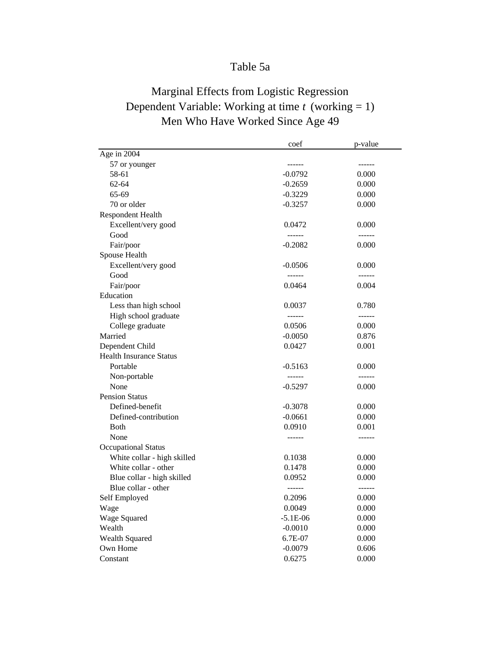### Table 5a

# Marginal Effects from Logistic Regression Dependent Variable: Working at time *t* (working = 1) Men Who Have Worked Since Age 49

|                                | coef          | p-value       |
|--------------------------------|---------------|---------------|
| Age in 2004                    |               |               |
| 57 or younger                  | ------        | ------        |
| 58-61                          | $-0.0792$     | 0.000         |
| 62-64                          | $-0.2659$     | 0.000         |
| 65-69                          | $-0.3229$     | 0.000         |
| 70 or older                    | $-0.3257$     | 0.000         |
| <b>Respondent Health</b>       |               |               |
| Excellent/very good            | 0.0472        | 0.000         |
| Good                           | ------        | ------        |
| Fair/poor                      | $-0.2082$     | 0.000         |
| Spouse Health                  |               |               |
| Excellent/very good            | $-0.0506$     | 0.000         |
| Good                           | ------        | ------        |
| Fair/poor                      | 0.0464        | 0.004         |
| Education                      |               |               |
| Less than high school          | 0.0037        | 0.780         |
| High school graduate           | ------        | $- - - - - -$ |
| College graduate               | 0.0506        | 0.000         |
| Married                        | $-0.0050$     | 0.876         |
| Dependent Child                | 0.0427        | 0.001         |
| <b>Health Insurance Status</b> |               |               |
| Portable                       | $-0.5163$     | 0.000         |
| Non-portable                   | $- - - - - -$ | ------        |
| None                           | -0.5297       | 0.000         |
| <b>Pension Status</b>          |               |               |
| Defined-benefit                | $-0.3078$     | 0.000         |
| Defined-contribution           | $-0.0661$     | 0.000         |
| <b>B</b> oth                   | 0.0910        | 0.001         |
| None                           | ------        | ------        |
| <b>Occupational Status</b>     |               |               |
| White collar - high skilled    | 0.1038        | 0.000         |
| White collar - other           | 0.1478        | 0.000         |
| Blue collar - high skilled     | 0.0952        | 0.000         |
| Blue collar - other            | ------        | ------        |
| Self Employed                  | 0.2096        | 0.000         |
| Wage                           | 0.0049        | 0.000         |
| Wage Squared                   | $-5.1E-06$    | 0.000         |
| Wealth                         | $-0.0010$     | 0.000         |
| Wealth Squared                 | 6.7E-07       | 0.000         |
| Own Home                       | $-0.0079$     | 0.606         |
| Constant                       | 0.6275        | 0.000         |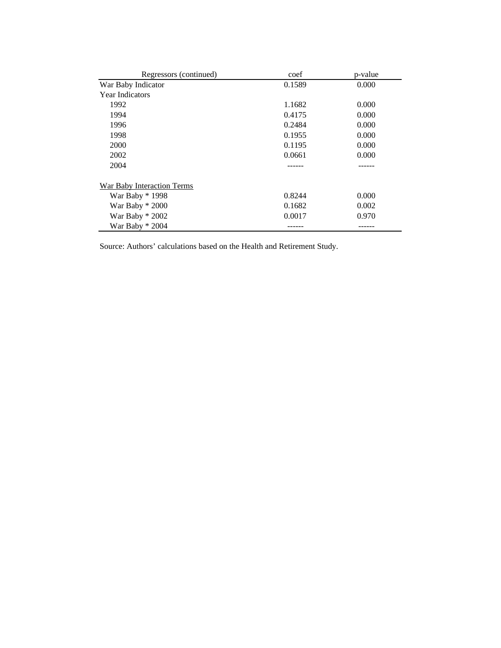| Regressors (continued)     | coef   | p-value |
|----------------------------|--------|---------|
| War Baby Indicator         | 0.1589 | 0.000   |
| <b>Year Indicators</b>     |        |         |
| 1992                       | 1.1682 | 0.000   |
| 1994                       | 0.4175 | 0.000   |
| 1996                       | 0.2484 | 0.000   |
| 1998                       | 0.1955 | 0.000   |
| 2000                       | 0.1195 | 0.000   |
| 2002                       | 0.0661 | 0.000   |
| 2004                       |        |         |
| War Baby Interaction Terms |        |         |
| War Baby * 1998            | 0.8244 | 0.000   |
| War Baby $*2000$           | 0.1682 | 0.002   |
| War Baby $*$ 2002          | 0.0017 | 0.970   |
| War Baby $*$ 2004          |        |         |

Source: Authors' calculations based on the Health and Retirement Study.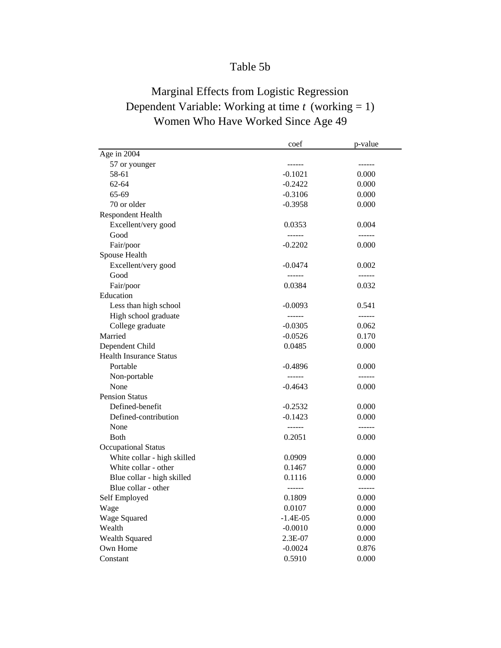### Table 5b

# Marginal Effects from Logistic Regression Dependent Variable: Working at time *t* (working = 1) Women Who Have Worked Since Age 49

|                                | coef       | p-value       |
|--------------------------------|------------|---------------|
| Age in 2004                    |            |               |
| 57 or younger                  | ------     | ------        |
| 58-61                          | $-0.1021$  | 0.000         |
| $62 - 64$                      | $-0.2422$  | 0.000         |
| 65-69                          | $-0.3106$  | 0.000         |
| 70 or older                    | $-0.3958$  | 0.000         |
| <b>Respondent Health</b>       |            |               |
| Excellent/very good            | 0.0353     | 0.004         |
| Good                           | ------     | ------        |
| Fair/poor                      | $-0.2202$  | 0.000         |
| Spouse Health                  |            |               |
| Excellent/very good            | $-0.0474$  | 0.002         |
| Good                           | ------     | $- - - - - -$ |
| Fair/poor                      | 0.0384     | 0.032         |
| Education                      |            |               |
| Less than high school          | $-0.0093$  | 0.541         |
| High school graduate           | ------     | ------        |
| College graduate               | $-0.0305$  | 0.062         |
| Married                        | $-0.0526$  | 0.170         |
| Dependent Child                | 0.0485     | 0.000         |
| <b>Health Insurance Status</b> |            |               |
| Portable                       | $-0.4896$  | 0.000         |
| Non-portable                   | ------     | ------        |
| None                           | $-0.4643$  | 0.000         |
| <b>Pension Status</b>          |            |               |
| Defined-benefit                | $-0.2532$  | 0.000         |
| Defined-contribution           | $-0.1423$  | 0.000         |
| None                           | ------     | ------        |
| Both                           | 0.2051     | 0.000         |
| <b>Occupational Status</b>     |            |               |
| White collar - high skilled    | 0.0909     | 0.000         |
| White collar - other           | 0.1467     | 0.000         |
| Blue collar - high skilled     | 0.1116     | 0.000         |
| Blue collar - other            | ------     | ------        |
| Self Employed                  | 0.1809     | 0.000         |
| Wage                           | 0.0107     | 0.000         |
| Wage Squared                   | $-1.4E-05$ | 0.000         |
| Wealth                         | $-0.0010$  | 0.000         |
| Wealth Squared                 | 2.3E-07    | 0.000         |
| Own Home                       | $-0.0024$  | 0.876         |
| Constant                       | 0.5910     | 0.000         |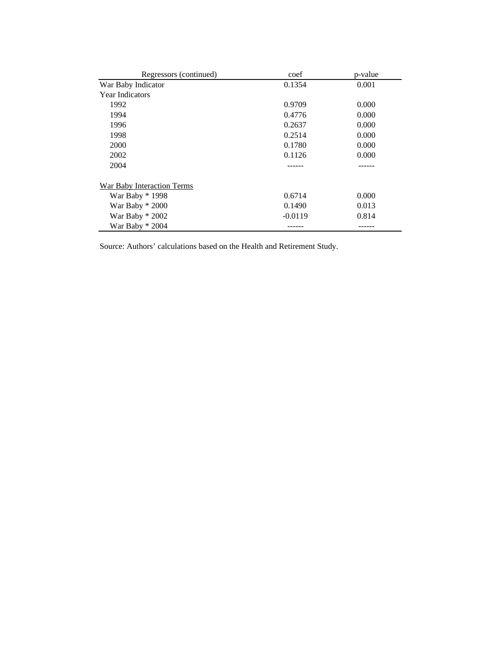| Regressors (continued)     | coef      | p-value |
|----------------------------|-----------|---------|
| War Baby Indicator         | 0.1354    | 0.001   |
| <b>Year Indicators</b>     |           |         |
| 1992                       | 0.9709    | 0.000   |
| 1994                       | 0.4776    | 0.000   |
| 1996                       | 0.2637    | 0.000   |
| 1998                       | 0.2514    | 0.000   |
| 2000                       | 0.1780    | 0.000   |
| 2002                       | 0.1126    | 0.000   |
| 2004                       |           |         |
| War Baby Interaction Terms |           |         |
| War Baby * 1998            | 0.6714    | 0.000   |
| War Baby $*$ 2000          | 0.1490    | 0.013   |
| War Baby $*$ 2002          | $-0.0119$ | 0.814   |
| War Baby $*$ 2004          |           |         |

Source: Authors' calculations based on the Health and Retirement Study.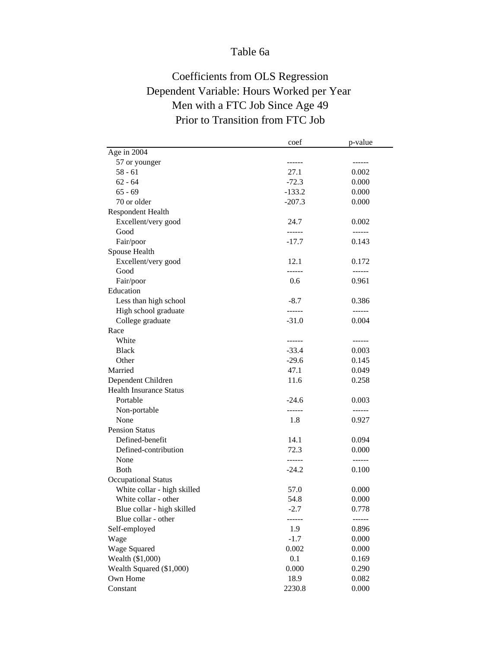### Table 6a

# Coefficients from OLS Regression Dependent Variable: Hours Worked per Year Men with a FTC Job Since Age 49 Prior to Transition from FTC Job

|                                | coef          | p-value       |
|--------------------------------|---------------|---------------|
| Age in 2004                    |               |               |
| 57 or younger                  | ------        |               |
| $58 - 61$                      | 27.1          | 0.002         |
| $62 - 64$                      | $-72.3$       | 0.000         |
| $65 - 69$                      | $-133.2$      | 0.000         |
| 70 or older                    | $-207.3$      | 0.000         |
| Respondent Health              |               |               |
| Excellent/very good            | 24.7          | 0.002         |
| Good                           | ------        | ------        |
| Fair/poor                      | $-17.7$       | 0.143         |
| Spouse Health                  |               |               |
| Excellent/very good            | 12.1          | 0.172         |
| Good                           | ------        |               |
| Fair/poor                      | 0.6           | 0.961         |
| Education                      |               |               |
| Less than high school          | $-8.7$        | 0.386         |
| High school graduate           | ------        | $- - - - - -$ |
| College graduate               | $-31.0$       | 0.004         |
| Race                           |               |               |
| White                          | $- - - - - -$ | ------        |
| <b>Black</b>                   | $-33.4$       | 0.003         |
| Other                          | $-29.6$       | 0.145         |
| Married                        | 47.1          | 0.049         |
| Dependent Children             | 11.6          | 0.258         |
| <b>Health Insurance Status</b> |               |               |
| Portable                       | $-24.6$       | 0.003         |
| Non-portable                   | $- - - - - -$ | ------        |
| None                           | 1.8           | 0.927         |
| <b>Pension Status</b>          |               |               |
| Defined-benefit                | 14.1          | 0.094         |
| Defined-contribution           | 72.3          | 0.000         |
| None                           | ------        | $- - - - - -$ |
| <b>B</b> oth                   | $-24.2$       | 0.100         |
| <b>Occupational Status</b>     |               |               |
| White collar - high skilled    | 57.0          | 0.000         |
| White collar - other           | 54.8          | 0.000         |
| Blue collar - high skilled     | $-2.7$        | 0.778         |
| Blue collar - other            | ------        |               |
| Self-employed                  | 1.9           | 0.896         |
| Wage                           | $-1.7$        | 0.000         |
| Wage Squared                   | 0.002         | 0.000         |
| Wealth (\$1,000)               | 0.1           | 0.169         |
| Wealth Squared (\$1,000)       | 0.000         | 0.290         |
| Own Home                       | 18.9          | 0.082         |
| Constant                       | 2230.8        | 0.000         |
|                                |               |               |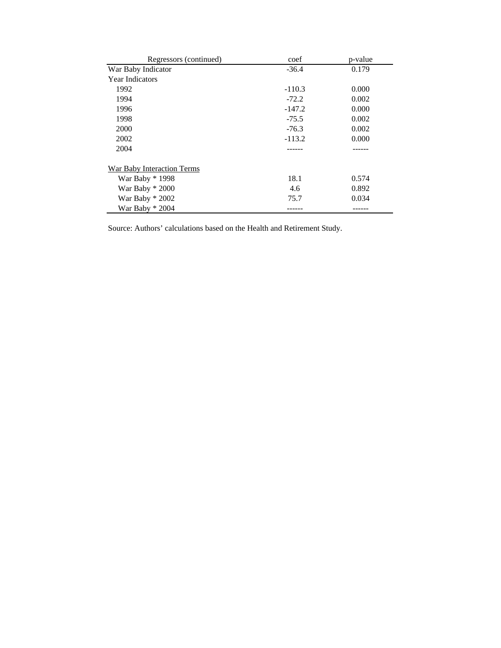| Regressors (continued)     | coef     | p-value |
|----------------------------|----------|---------|
| War Baby Indicator         | $-36.4$  | 0.179   |
| <b>Year Indicators</b>     |          |         |
| 1992                       | $-110.3$ | 0.000   |
| 1994                       | $-72.2$  | 0.002   |
| 1996                       | $-147.2$ | 0.000   |
| 1998                       | $-75.5$  | 0.002   |
| 2000                       | $-76.3$  | 0.002   |
| 2002                       | $-113.2$ | 0.000   |
| 2004                       |          |         |
| War Baby Interaction Terms |          |         |
| War Baby * 1998            | 18.1     | 0.574   |
| War Baby * 2000            | 4.6      | 0.892   |
| War Baby $*$ 2002          | 75.7     | 0.034   |
| War Baby $*$ 2004          |          |         |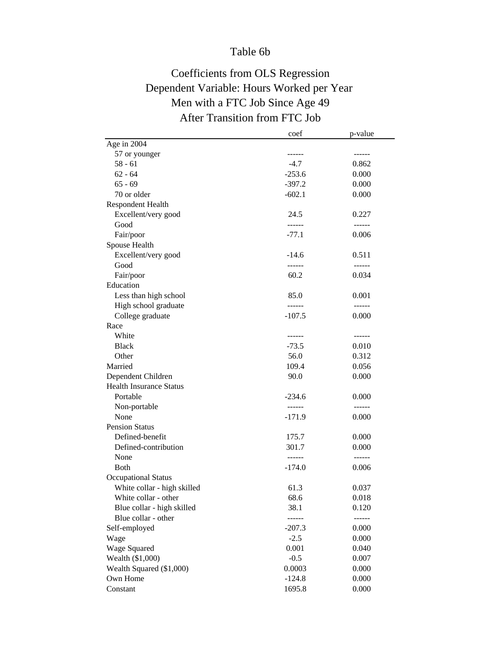### Table 6b

# Coefficients from OLS Regression Dependent Variable: Hours Worked per Year Men with a FTC Job Since Age 49 After Transition from FTC Job

|                                | coef     | p-value       |
|--------------------------------|----------|---------------|
| Age in 2004                    |          |               |
| 57 or younger                  |          |               |
| $58 - 61$                      | $-4.7$   | 0.862         |
| $62 - 64$                      | $-253.6$ | 0.000         |
| $65 - 69$                      | $-397.2$ | 0.000         |
| 70 or older                    | $-602.1$ | 0.000         |
| Respondent Health              |          |               |
| Excellent/very good            | 24.5     | 0.227         |
| Good                           | ------   | $- - - - - -$ |
| Fair/poor                      | $-77.1$  | 0.006         |
| Spouse Health                  |          |               |
| Excellent/very good            | $-14.6$  | 0.511         |
| Good                           | ------   | ------        |
| Fair/poor                      | 60.2     | 0.034         |
| Education                      |          |               |
| Less than high school          | 85.0     | 0.001         |
| High school graduate           | ------   | ------        |
| College graduate               | $-107.5$ | 0.000         |
| Race                           |          |               |
| White                          | ------   | ------        |
| <b>Black</b>                   | $-73.5$  | 0.010         |
| Other                          | 56.0     | 0.312         |
| Married                        | 109.4    | 0.056         |
| Dependent Children             | 90.0     | 0.000         |
| <b>Health Insurance Status</b> |          |               |
| Portable                       | $-234.6$ | 0.000         |
| Non-portable                   | ------   |               |
| None                           | $-171.9$ | 0.000         |
| <b>Pension Status</b>          |          |               |
| Defined-benefit                | 175.7    | 0.000         |
| Defined-contribution           | 301.7    | 0.000         |
| None                           | ------   |               |
| <b>Both</b>                    | $-174.0$ | 0.006         |
| <b>Occupational Status</b>     |          |               |
| White collar - high skilled    | 61.3     | 0.037         |
| White collar - other           | 68.6     | 0.018         |
| Blue collar - high skilled     | 38.1     | 0.120         |
| Blue collar - other            | ------   | ------        |
| Self-employed                  | $-207.3$ | 0.000         |
| Wage                           | $-2.5$   | 0.000         |
| Wage Squared                   | 0.001    | 0.040         |
| Wealth (\$1,000)               | $-0.5$   | 0.007         |
| Wealth Squared (\$1,000)       | 0.0003   | 0.000         |
| Own Home                       | $-124.8$ | 0.000         |
| Constant                       | 1695.8   | 0.000         |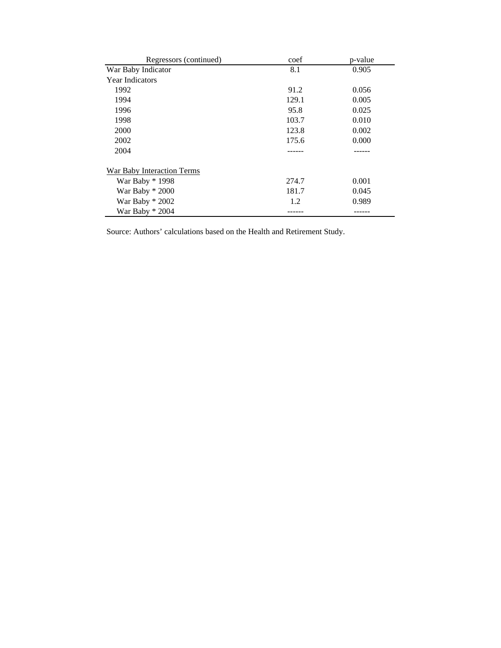| Regressors (continued)            | coef  | p-value |
|-----------------------------------|-------|---------|
| War Baby Indicator                | 8.1   | 0.905   |
| <b>Year Indicators</b>            |       |         |
| 1992                              | 91.2  | 0.056   |
| 1994                              | 129.1 | 0.005   |
| 1996                              | 95.8  | 0.025   |
| 1998                              | 103.7 | 0.010   |
| 2000                              | 123.8 | 0.002   |
| 2002                              | 175.6 | 0.000   |
| 2004                              |       |         |
| <b>War Baby Interaction Terms</b> |       |         |
| War Baby * 1998                   | 274.7 | 0.001   |
| War Baby $*2000$                  | 181.7 | 0.045   |
| War Baby * 2002                   | 1.2   | 0.989   |
| War Baby $*$ 2004                 |       |         |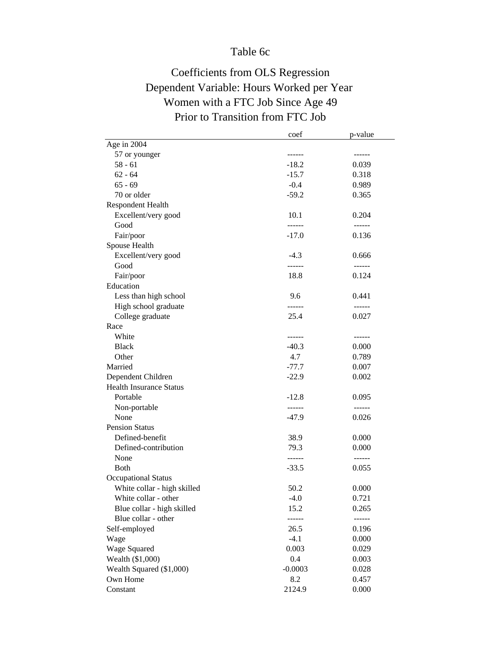### Table 6c

# Coefficients from OLS Regression Dependent Variable: Hours Worked per Year Women with a FTC Job Since Age 49 Prior to Transition from FTC Job

|                                | coef      | p-value       |
|--------------------------------|-----------|---------------|
| Age in 2004                    |           |               |
| 57 or younger                  |           |               |
| $58 - 61$                      | $-18.2$   | 0.039         |
| $62 - 64$                      | $-15.7$   | 0.318         |
| $65 - 69$                      | $-0.4$    | 0.989         |
| 70 or older                    | $-59.2$   | 0.365         |
| <b>Respondent Health</b>       |           |               |
| Excellent/very good            | 10.1      | 0.204         |
| Good                           | ------    | $- - - - - -$ |
| Fair/poor                      | $-17.0$   | 0.136         |
| Spouse Health                  |           |               |
| Excellent/very good            | $-4.3$    | 0.666         |
| Good                           | ------    |               |
| Fair/poor                      | 18.8      | 0.124         |
| Education                      |           |               |
| Less than high school          | 9.6       | 0.441         |
| High school graduate           | ------    | ------        |
| College graduate               | 25.4      | 0.027         |
| Race                           |           |               |
| White                          | ------    | ------        |
| <b>Black</b>                   | $-40.3$   | 0.000         |
| Other                          | 4.7       | 0.789         |
| Married                        | $-77.7$   | 0.007         |
| Dependent Children             | $-22.9$   | 0.002         |
| <b>Health Insurance Status</b> |           |               |
| Portable                       | $-12.8$   | 0.095         |
| Non-portable                   | ------    | ------        |
| None                           | $-47.9$   | 0.026         |
| <b>Pension Status</b>          |           |               |
| Defined-benefit                | 38.9      | 0.000         |
| Defined-contribution           | 79.3      | 0.000         |
| None                           |           | ------        |
| <b>Both</b>                    | $-33.5$   | 0.055         |
| <b>Occupational Status</b>     |           |               |
| White collar - high skilled    | 50.2      | 0.000         |
| White collar - other           | $-4.0$    | 0.721         |
| Blue collar - high skilled     | 15.2      | 0.265         |
| Blue collar - other            | ------    | ------        |
| Self-employed                  | 26.5      | 0.196         |
|                                | $-4.1$    |               |
| Wage                           |           | 0.000         |
| Wage Squared                   | 0.003     | 0.029         |
| Wealth (\$1,000)               | 0.4       | 0.003         |
| Wealth Squared (\$1,000)       | $-0.0003$ | 0.028         |
| Own Home                       | 8.2       | 0.457         |
| Constant                       | 2124.9    | 0.000         |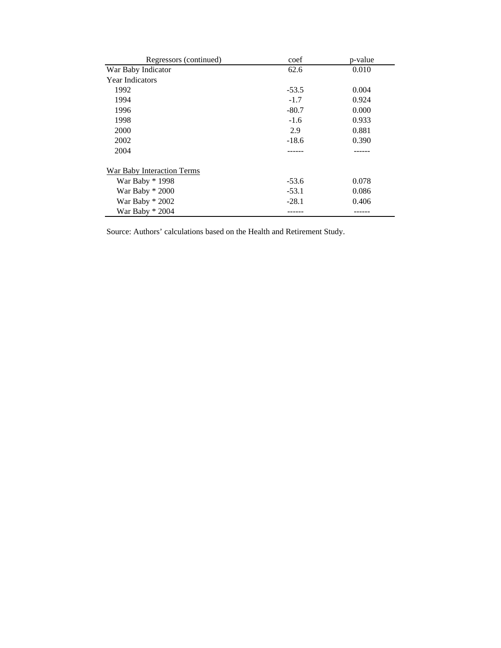| Regressors (continued)            | coef    | p-value |
|-----------------------------------|---------|---------|
| War Baby Indicator                | 62.6    | 0.010   |
| <b>Year Indicators</b>            |         |         |
| 1992                              | $-53.5$ | 0.004   |
| 1994                              | $-1.7$  | 0.924   |
| 1996                              | $-80.7$ | 0.000   |
| 1998                              | $-1.6$  | 0.933   |
| 2000                              | 2.9     | 0.881   |
| 2002                              | $-18.6$ | 0.390   |
| 2004                              |         |         |
| <b>War Baby Interaction Terms</b> |         |         |
| War Baby * 1998                   | $-53.6$ | 0.078   |
| War Baby $*2000$                  | $-53.1$ | 0.086   |
| War Baby * 2002                   | $-28.1$ | 0.406   |
| War Baby $*$ 2004                 |         |         |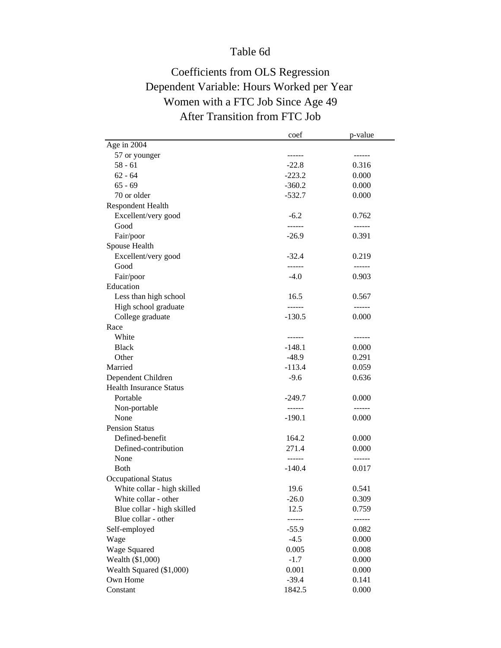# Table 6d

# Coefficients from OLS Regression Dependent Variable: Hours Worked per Year Women with a FTC Job Since Age 49 After Transition from FTC Job

|                                | coef          | p-value |
|--------------------------------|---------------|---------|
| Age in 2004                    |               |         |
| 57 or younger                  |               |         |
| $58 - 61$                      | $-22.8$       | 0.316   |
| $62 - 64$                      | $-223.2$      | 0.000   |
| $65 - 69$                      | $-360.2$      | 0.000   |
| 70 or older                    | $-532.7$      | 0.000   |
| Respondent Health              |               |         |
| Excellent/very good            | $-6.2$        | 0.762   |
| Good                           | ------        | ------  |
| Fair/poor                      | $-26.9$       | 0.391   |
| Spouse Health                  |               |         |
| Excellent/very good            | $-32.4$       | 0.219   |
| Good                           | ------        | ------  |
| Fair/poor                      | $-4.0$        | 0.903   |
| Education                      |               |         |
| Less than high school          | 16.5          | 0.567   |
| High school graduate           | ------        | ------  |
| College graduate               | $-130.5$      | 0.000   |
| Race                           |               |         |
| White                          | $- - - - - -$ | ------  |
| <b>Black</b>                   | -148.1        | 0.000   |
| Other                          | $-48.9$       | 0.291   |
| Married                        | $-113.4$      | 0.059   |
| Dependent Children             | $-9.6$        | 0.636   |
| <b>Health Insurance Status</b> |               |         |
| Portable                       | $-249.7$      | 0.000   |
| Non-portable                   | ------        | ------  |
| None                           | $-190.1$      | 0.000   |
| <b>Pension Status</b>          |               |         |
| Defined-benefit                | 164.2         | 0.000   |
| Defined-contribution           | 271.4         | 0.000   |
| None                           | $- - - - - -$ | ------  |
| <b>Both</b>                    | $-140.4$      | 0.017   |
| <b>Occupational Status</b>     |               |         |
| White collar - high skilled    | 19.6          | 0.541   |
| White collar - other           | $-26.0$       | 0.309   |
| Blue collar - high skilled     | 12.5          | 0.759   |
| Blue collar - other            | ------        | ------  |
| Self-employed                  | $-55.9$       | 0.082   |
| Wage                           | $-4.5$        | 0.000   |
| Wage Squared                   | 0.005         | 0.008   |
| Wealth (\$1,000)               | $-1.7$        | 0.000   |
| Wealth Squared (\$1,000)       | 0.001         | 0.000   |
| Own Home                       | $-39.4$       | 0.141   |
| Constant                       | 1842.5        | 0.000   |